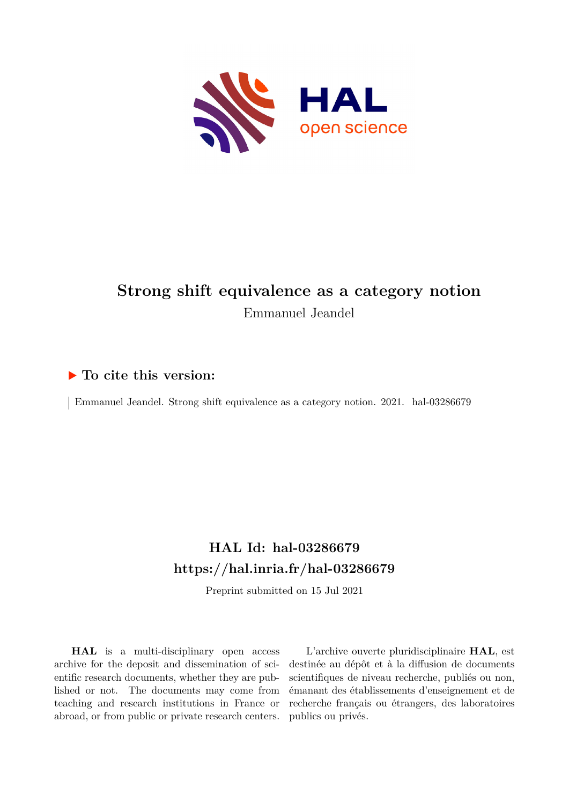

# **Strong shift equivalence as a category notion** Emmanuel Jeandel

## **To cite this version:**

 $\vert$  Emmanuel Jeandel. Strong shift equivalence as a category notion. 2021. hal-03286679

## **HAL Id: hal-03286679 <https://hal.inria.fr/hal-03286679>**

Preprint submitted on 15 Jul 2021

**HAL** is a multi-disciplinary open access archive for the deposit and dissemination of scientific research documents, whether they are published or not. The documents may come from teaching and research institutions in France or abroad, or from public or private research centers.

L'archive ouverte pluridisciplinaire **HAL**, est destinée au dépôt et à la diffusion de documents scientifiques de niveau recherche, publiés ou non, émanant des établissements d'enseignement et de recherche français ou étrangers, des laboratoires publics ou privés.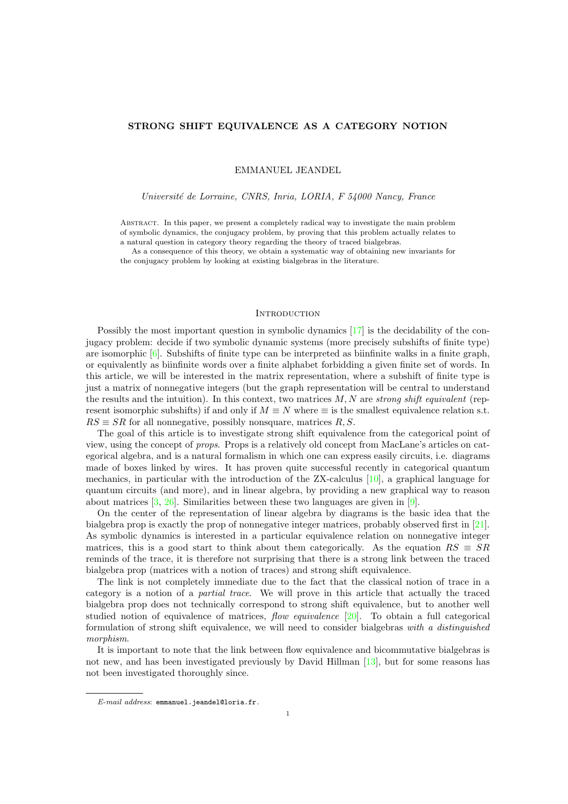## STRONG SHIFT EQUIVALENCE AS A CATEGORY NOTION

EMMANUEL JEANDEL

Université de Lorraine, CNRS, Inria, LORIA, F 54000 Nancy, France

Abstract. In this paper, we present a completely radical way to investigate the main problem of symbolic dynamics, the conjugacy problem, by proving that this problem actually relates to a natural question in category theory regarding the theory of traced bialgebras.

As a consequence of this theory, we obtain a systematic way of obtaining new invariants for the conjugacy problem by looking at existing bialgebras in the literature.

### **INTRODUCTION**

Possibly the most important question in symbolic dynamics [17] is the decidability of the conjugacy problem: decide if two symbolic dynamic systems (more precisely subshifts of finite type) are isomorphic [6]. Subshifts of finite type can be interpreted as biinfinite walks in a finite graph, or equivalently as biinfinite words over a finite alphabet forbidding a given finite set of words. In this article, we will be interested in the matrix representation, where a subshift of finite type is just a matrix of nonnegative integers (but the graph representation will be central to understand the results and the intuition). In this context, two matrices  $M, N$  are strong shift equivalent (represent isomorphic subshifts) if and only if  $M \equiv N$  where  $\equiv$  is the smallest equivalence relation s.t.  $RS \equiv SR$  for all nonnegative, possibly nonsquare, matrices R, S.

The goal of this article is to investigate strong shift equivalence from the categorical point of view, using the concept of props. Props is a relatively old concept from MacLane's articles on categorical algebra, and is a natural formalism in which one can express easily circuits, i.e. diagrams made of boxes linked by wires. It has proven quite successful recently in categorical quantum mechanics, in particular with the introduction of the ZX-calculus [10], a graphical language for quantum circuits (and more), and in linear algebra, by providing a new graphical way to reason about matrices [3, 26]. Similarities between these two languages are given in [9].

On the center of the representation of linear algebra by diagrams is the basic idea that the bialgebra prop is exactly the prop of nonnegative integer matrices, probably observed first in [21]. As symbolic dynamics is interested in a particular equivalence relation on nonnegative integer matrices, this is a good start to think about them categorically. As the equation  $RS \equiv SR$ reminds of the trace, it is therefore not surprising that there is a strong link between the traced bialgebra prop (matrices with a notion of traces) and strong shift equivalence.

The link is not completely immediate due to the fact that the classical notion of trace in a category is a notion of a partial trace. We will prove in this article that actually the traced bialgebra prop does not technically correspond to strong shift equivalence, but to another well studied notion of equivalence of matrices, flow equivalence [20]. To obtain a full categorical formulation of strong shift equivalence, we will need to consider bialgebras with a distinguished morphism.

It is important to note that the link between flow equivalence and bicommutative bialgebras is not new, and has been investigated previously by David Hillman [13], but for some reasons has not been investigated thoroughly since.

E-mail address: emmanuel.jeandel@loria.fr.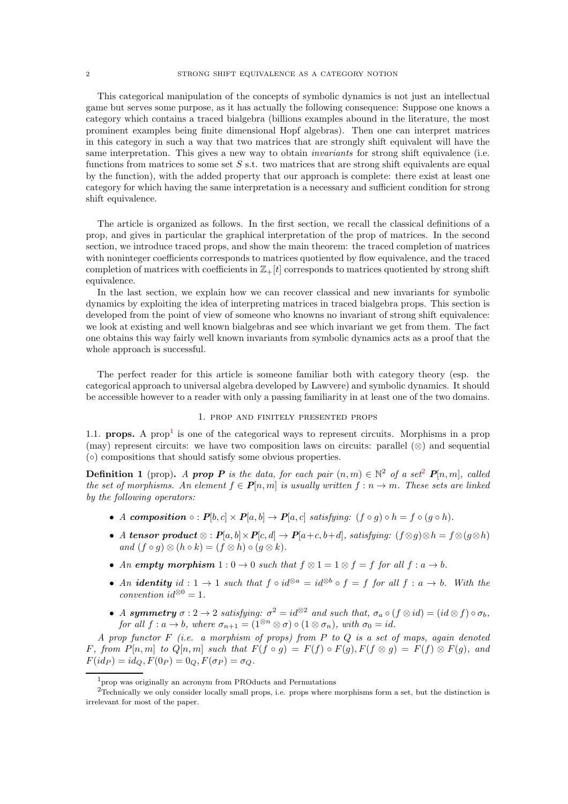This categorical manipulation of the concepts of symbolic dynamics is not just an intellectual game but serves some purpose, as it has actually the following consequence: Suppose one knows a category which contains a traced bialgebra (billions examples abound in the literature, the most prominent examples being finite dimensional Hopf algebras). Then one can interpret matrices in this category in such a way that two matrices that are strongly shift equivalent will have the same interpretation. This gives a new way to obtain *invariants* for strong shift equivalence (i.e. functions from matrices to some set  $S$  s.t. two matrices that are strong shift equivalents are equal by the function), with the added property that our approach is complete: there exist at least one category for which having the same interpretation is a necessary and sufficient condition for strong shift equivalence.

The article is organized as follows. In the first section, we recall the classical definitions of a prop, and gives in particular the graphical interpretation of the prop of matrices. In the second section, we introduce traced props, and show the main theorem: the traced completion of matrices with noninteger coefficients corresponds to matrices quotiented by flow equivalence, and the traced completion of matrices with coefficients in  $\mathbb{Z}_+ [t]$  corresponds to matrices quotiented by strong shift equivalence.

In the last section, we explain how we can recover classical and new invariants for symbolic dynamics by exploiting the idea of interpreting matrices in traced bialgebra props. This section is developed from the point of view of someone who knowns no invariant of strong shift equivalence: we look at existing and well known bialgebras and see which invariant we get from them. The fact one obtains this way fairly well known invariants from symbolic dynamics acts as a proof that the whole approach is successful.

The perfect reader for this article is someone familiar both with category theory (esp. the categorical approach to universal algebra developed by Lawvere) and symbolic dynamics. It should be accessible however to a reader with only a passing familiarity in at least one of the two domains.

## 1. prop and finitely presented props

1.1. **props.** A prop<sup>1</sup> is one of the categorical ways to represent circuits. Morphisms in a prop (may) represent circuits: we have two composition laws on circuits: parallel  $(\otimes)$  and sequential (◦) compositions that should satisfy some obvious properties.

**Definition 1** (prop). A **prop P** is the data, for each pair  $(n, m) \in \mathbb{N}^2$  of a set<sup>2</sup>  $P[n,m]$ , called the set of morphisms. An element  $f \in \mathbf{P}[n,m]$  is usually written  $f : n \to m$ . These sets are linked by the following operators:

- A composition  $\circ : P[b, c] \times P[a, b] \rightarrow P[a, c]$  satisfying:  $(f \circ g) \circ h = f \circ (g \circ h)$ .
- A tensor product  $\otimes$  :  $P[a, b] \times P[c, d] \rightarrow P[a+c, b+d]$ , satisfying:  $(f \otimes g) \otimes h = f \otimes (g \otimes h)$ and  $(f \circ g) \otimes (h \circ k) = (f \otimes h) \circ (g \otimes k).$
- An empty morphism  $1:0\to 0$  such that  $f\otimes 1=1\otimes f=f$  for all  $f:a\to b$ .
- An **identity** id : 1  $\rightarrow$  1 such that  $f \circ id^{\otimes a} = id^{\otimes b} \circ f = f$  for all  $f : a \rightarrow b$ . With the convention  $id^{\otimes 0} = 1$ .
- A symmetry  $\sigma: 2 \to 2$  satisfying:  $\sigma^2 = id^{\otimes 2}$  and such that,  $\sigma_a \circ (f \otimes id) = (id \otimes f) \circ \sigma_b$ , for all  $f : a \to b$ , where  $\sigma_{n+1} = (1^{\otimes n} \otimes \sigma) \circ (1 \otimes \sigma_n)$ , with  $\sigma_0 = id$ .

A prop functor  $F$  (i.e. a morphism of props) from  $P$  to  $Q$  is a set of maps, again denoted F, from  $P[n,m]$  to  $Q[n,m]$  such that  $F(f \circ g) = F(f) \circ F(g)$ ,  $F(f \otimes g) = F(f) \otimes F(g)$ , and  $F(id_P) = id_Q, F(0_P) = 0_Q, F(\sigma_P) = \sigma_Q.$ 

<sup>1</sup>prop was originally an acronym from PROducts and Permutations

<sup>&</sup>lt;sup>2</sup>Technically we only consider locally small props, i.e. props where morphisms form a set, but the distinction is irrelevant for most of the paper.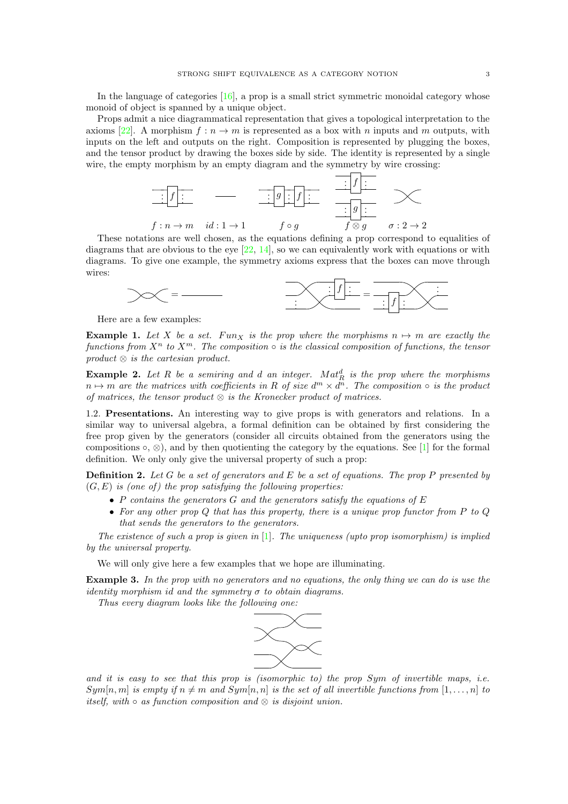In the language of categories  $[16]$ , a prop is a small strict symmetric monoidal category whose monoid of object is spanned by a unique object.

Props admit a nice diagrammatical representation that gives a topological interpretation to the axioms [22]. A morphism  $f: n \to m$  is represented as a box with n inputs and m outputs, with inputs on the left and outputs on the right. Composition is represented by plugging the boxes, and the tensor product by drawing the boxes side by side. The identity is represented by a single wire, the empty morphism by an empty diagram and the symmetry by wire crossing:



These notations are well chosen, as the equations defining a prop correspond to equalities of diagrams that are obvious to the eye  $[22, 14]$ , so we can equivalently work with equations or with diagrams. To give one example, the symmetry axioms express that the boxes can move through wires:



Here are a few examples:

**Example 1.** Let X be a set. Funx is the prop where the morphisms  $n \mapsto m$  are exactly the functions from  $X^n$  to  $X^m$ . The composition  $\circ$  is the classical composition of functions, the tensor  $product \otimes is the cartesian product.$ 

**Example 2.** Let R be a semiring and d an integer.  $Mat_R^d$  is the prop where the morphisms  $n \mapsto m$  are the matrices with coefficients in R of size  $d^m \times d^n$ . The composition  $\circ$  is the product of matrices, the tensor product  $\otimes$  is the Kronecker product of matrices.

1.2. Presentations. An interesting way to give props is with generators and relations. In a similar way to universal algebra, a formal definition can be obtained by first considering the free prop given by the generators (consider all circuits obtained from the generators using the compositions  $\circ$ ,  $\otimes$ ), and by then quotienting the category by the equations. See [1] for the formal definition. We only only give the universal property of such a prop:

**Definition 2.** Let G be a set of generators and E be a set of equations. The prop P presented by  $(G, E)$  is (one of) the prop satisfying the following properties:

- P contains the generators  $G$  and the generators satisfy the equations of  $E$
- For any other prop  $Q$  that has this property, there is a unique prop functor from  $P$  to  $Q$ that sends the generators to the generators.

The existence of such a prop is given in  $[1]$ . The uniqueness (upto prop isomorphism) is implied by the universal property.

We will only give here a few examples that we hope are illuminating.

Example 3. In the prop with no generators and no equations, the only thing we can do is use the identity morphism id and the symmetry  $\sigma$  to obtain diagrams.

Thus every diagram looks like the following one:



and it is easy to see that this prop is (isomorphic to) the prop  $Sym$  of invertible maps, i.e.  $Sym[n, m]$  is empty if  $n \neq m$  and  $Sym[n, n]$  is the set of all invertible functions from  $[1, \ldots, n]$  to itself, with  $\circ$  as function composition and  $\otimes$  is disjoint union.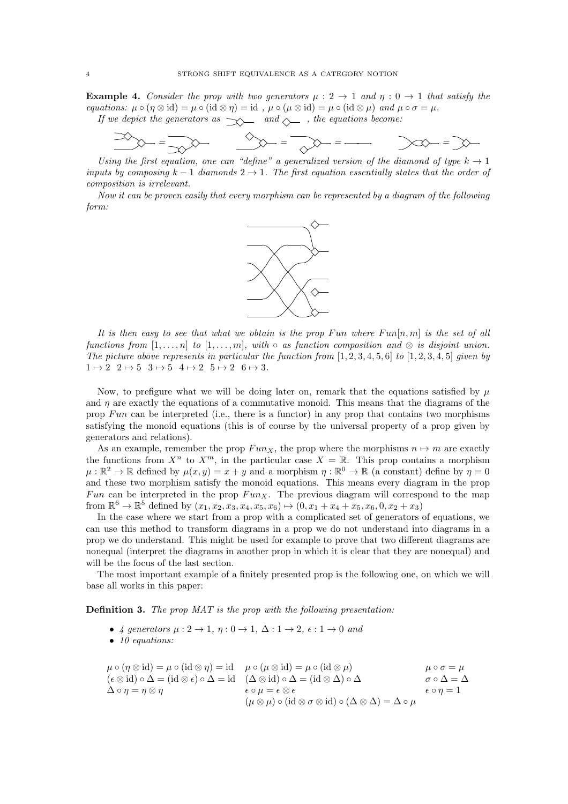**Example 4.** Consider the prop with two generators  $\mu: 2 \to 1$  and  $\eta: 0 \to 1$  that satisfy the equations:  $\mu \circ (\eta \otimes id) = \mu \circ (id \otimes \eta) = id$ ,  $\mu \circ (\mu \otimes id) = \mu \circ (id \otimes \mu)$  and  $\mu \circ \sigma = \mu$ . If we depict the generators as  $\rightarrow \rightarrow$  and  $\rightarrow$  , the equations become:

 $\bigotimes_{i=1}^n \mathbb{Z}^i = \bigotimes_{i=1}^n \mathbb{Z}^i = \bigotimes_{i=1}^n \mathbb{Z}^i = \bigotimes_{i=1}^n \mathbb{Z}^i = \bigotimes_{i=1}^n \mathbb{Z}^i = \bigotimes_{i=1}^n \mathbb{Z}^i = \bigotimes_{i=1}^n \mathbb{Z}^i = \bigotimes_{i=1}^n \mathbb{Z}^i = \bigotimes_{i=1}^n \mathbb{Z}^i = \bigotimes_{i=1}^n \mathbb{Z}^i = \bigotimes_{i=1}^n \mathbb{Z}^i =$ 

Using the first equation, one can "define" a generalized version of the diamond of type  $k \to 1$ inputs by composing  $k-1$  diamonds  $2 \rightarrow 1$ . The first equation essentially states that the order of composition is irrelevant.

Now it can be proven easily that every morphism can be represented by a diagram of the following form:



It is then easy to see that what we obtain is the prop Fun where  $Fun[n,m]$  is the set of all functions from  $[1, \ldots, n]$  to  $[1, \ldots, m]$ , with  $\circ$  as function composition and  $\otimes$  is disjoint union. The picture above represents in particular the function from  $[1, 2, 3, 4, 5, 6]$  to  $[1, 2, 3, 4, 5]$  given by  $1 \mapsto 2 \quad 2 \mapsto 5 \quad 3 \mapsto 5 \quad 4 \mapsto 2 \quad 5 \mapsto 2 \quad 6 \mapsto 3.$ 

Now, to prefigure what we will be doing later on, remark that the equations satisfied by  $\mu$ and  $\eta$  are exactly the equations of a commutative monoid. This means that the diagrams of the prop  $Fun$  can be interpreted (i.e., there is a functor) in any prop that contains two morphisms satisfying the monoid equations (this is of course by the universal property of a prop given by generators and relations).

As an example, remember the prop  $Fun_X$ , the prop where the morphisms  $n \mapsto m$  are exactly the functions from  $X^n$  to  $X^m$ , in the particular case  $X = \mathbb{R}$ . This prop contains a morphism  $\mu:\mathbb{R}^2\to\mathbb{R}$  defined by  $\mu(x,y)=x+y$  and a morphism  $\eta:\mathbb{R}^0\to\mathbb{R}$  (a constant) define by  $\eta=0$ and these two morphism satisfy the monoid equations. This means every diagram in the prop Fun can be interpreted in the prop  $Fun_X$ . The previous diagram will correspond to the map from  $\mathbb{R}^6 \to \mathbb{R}^5$  defined by  $(x_1, x_2, x_3, x_4, x_5, x_6) \mapsto (0, x_1 + x_4 + x_5, x_6, 0, x_2 + x_3)$ 

In the case where we start from a prop with a complicated set of generators of equations, we can use this method to transform diagrams in a prop we do not understand into diagrams in a prop we do understand. This might be used for example to prove that two different diagrams are nonequal (interpret the diagrams in another prop in which it is clear that they are nonequal) and will be the focus of the last section.

The most important example of a finitely presented prop is the following one, on which we will base all works in this paper:

Definition 3. The prop MAT is the prop with the following presentation:

- 4 generators  $\mu: 2 \to 1$ ,  $\eta: 0 \to 1$ ,  $\Delta: 1 \to 2$ ,  $\epsilon: 1 \to 0$  and
- 10 equations:

$$
\mu \circ (\eta \otimes id) = \mu \circ (id \otimes \eta) = id \quad \mu \circ (\mu \otimes id) = \mu \circ (id \otimes \mu) \qquad \mu \circ \sigma = \mu
$$
  
\n
$$
(\epsilon \otimes id) \circ \Delta = (id \otimes \epsilon) \circ \Delta = id \quad (\Delta \otimes id) \circ \Delta = (id \otimes \Delta) \circ \Delta \qquad \sigma \circ \Delta = \Delta
$$
  
\n
$$
\Delta \circ \eta = \eta \otimes \eta \qquad \epsilon \circ \mu = \epsilon \otimes \epsilon \qquad (\mu \otimes \mu) \circ (id \otimes \sigma \otimes id) \circ (\Delta \otimes \Delta) = \Delta \circ \mu
$$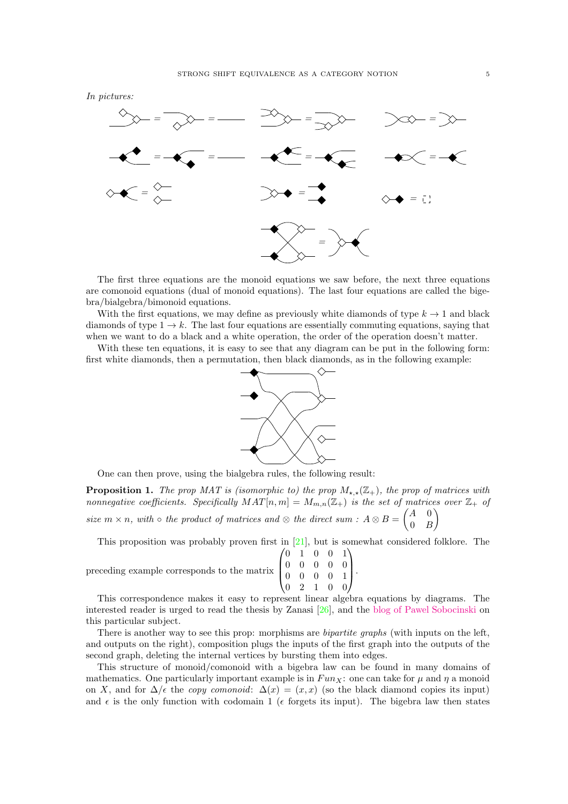



The first three equations are the monoid equations we saw before, the next three equations are comonoid equations (dual of monoid equations). The last four equations are called the bigebra/bialgebra/bimonoid equations.

With the first equations, we may define as previously white diamonds of type  $k \to 1$  and black diamonds of type  $1 \rightarrow k$ . The last four equations are essentially commuting equations, saying that when we want to do a black and a white operation, the order of the operation doesn't matter.

With these ten equations, it is easy to see that any diagram can be put in the following form: first white diamonds, then a permutation, then black diamonds, as in the following example:



One can then prove, using the bialgebra rules, the following result:

**Proposition 1.** The prop MAT is (isomorphic to) the prop  $M_{\star,\star}(\mathbb{Z}_+)$ , the prop of matrices with nonnegative coefficients. Specifically  $MAT[n, m] = M_{m,n}(\mathbb{Z}_+)$  is the set of matrices over  $\mathbb{Z}_+$  of size  $m \times n$ , with  $\circ$  the product of matrices and  $\otimes$  the direct sum :  $A \otimes B =$  $\begin{pmatrix} A & 0 \end{pmatrix}$  $\overline{ }$ 

This proposition was probably proven first in [21], but is somewhat considered folklore. The

 $0 \quad B$ 

| preceding example corresponds to the matrix $\begin{pmatrix} 0 & 1 & 0 & 0 & 1 \\ 0 & 0 & 0 & 0 & 0 \\ 0 & 0 & 0 & 0 & 1 \\ 0 & 2 & 1 & 0 & 0 \end{pmatrix}$ . |  |  |  |  |  |
|----------------------------------------------------------------------------------------------------------------------------------------------------------------|--|--|--|--|--|
|                                                                                                                                                                |  |  |  |  |  |
|                                                                                                                                                                |  |  |  |  |  |

This correspondence makes it easy to represent linear algebra equations by diagrams. The interested reader is urged to read the thesis by Zanasi [26], and the [blog of Pawel Sobocinski](https://graphicallinearalgebra.net/) on this particular subject.

There is another way to see this prop: morphisms are *bipartite graphs* (with inputs on the left, and outputs on the right), composition plugs the inputs of the first graph into the outputs of the second graph, deleting the internal vertices by bursting them into edges.

This structure of monoid/comonoid with a bigebra law can be found in many domains of mathematics. One particularly important example is in  $Fun_X$ : one can take for  $\mu$  and  $\eta$  a monoid on X, and for  $\Delta/\epsilon$  the copy comonoid:  $\Delta(x) = (x, x)$  (so the black diamond copies its input) and  $\epsilon$  is the only function with codomain 1 ( $\epsilon$  forgets its input). The bigebra law then states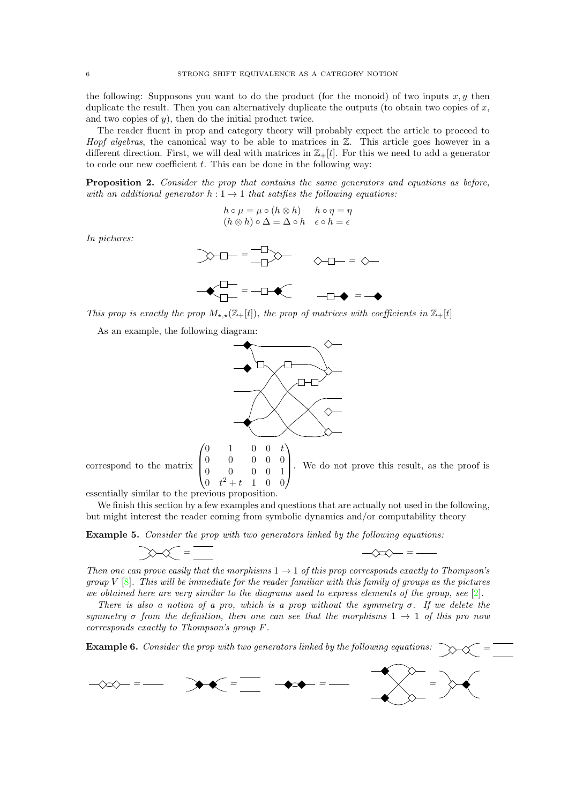the following: Supposons you want to do the product (for the monoid) of two inputs  $x, y$  then duplicate the result. Then you can alternatively duplicate the outputs (to obtain two copies of  $x$ , and two copies of  $y$ ), then do the initial product twice.

The reader fluent in prop and category theory will probably expect the article to proceed to *Hopf algebras*, the canonical way to be able to matrices in  $\mathbb{Z}$ . This article goes however in a different direction. First, we will deal with matrices in  $\mathbb{Z}_+[t]$ . For this we need to add a generator to code our new coefficient  $t$ . This can be done in the following way:

Proposition 2. Consider the prop that contains the same generators and equations as before, with an additional generator  $h: 1 \rightarrow 1$  that satifies the following equations:

$$
h \circ \mu = \mu \circ (h \otimes h) \qquad h \circ \eta = \eta
$$
  

$$
(h \otimes h) \circ \Delta = \Delta \circ h \qquad \epsilon \circ h = \epsilon
$$

In pictures:

$$
\begin{aligned}\n\text{A} \text{A} \text{B} &= \frac{-\text{A}}{-\text{A}} \text{A} \text{A} \\
\text{A} \text{B} &= -\text{A} \text{A} \text{A} \\
\text{A} \text{C} &= -\text{A} \text{A} \text{A} \\
\text{A} \text{C} &= -\text{A} \text{A} \text{A} \\
\text{A} \text{C} &= -\text{A} \text{A} \text{A} \\
\text{A} \text{D} &= -\text{A} \text{A} \\
\text{A} \text{D} &= -\text{A} \text{A} \\
\text{A} \text{D} &= -\text{A} \text{A} \\
\text{A} \text{D} &= -\text{A} \text{A} \\
\text{A} \text{D} &= -\text{A} \text{A} \\
\text{A} \text{D} &= -\text{A} \text{A} \\
\text{A} \text{D} &= -\text{A} \text{A} \\
\text{A} \text{D} &= -\text{A} \text{A} \\
\text{A} \text{D} &= -\text{A} \text{A} \\
\text{A} \text{D} &= -\text{A} \text{A} \\
\text{A} \text{D} &= -\text{A} \text{A} \\
\text{A} \text{D} &= -\text{A} \text{A} \\
\text{A} \text{D} &= -\text{A} \text{A} \\
\text{A} \text{D} &= -\text{A} \text{A} \\
\text{A} \text{D} &= -\text{A} \text{A} \\
\text{A} \text{D} &= -\text{A} \text{A} \\
\text{A} \text{D} &= -\text{A} \text{A} \\
\text{A} \text{D} &= -\text{A} \text{A} \\
\text{A} \text{D} &= -\text{A} \text{A} \\
\text{A} \text{D} &= -\text{A} \text{A} \\
\text{A} \text{D} &= -\text{A} \text{A} \\
\text{A} \text{D} &= -\text{A} \text{A} \\
\text{A} \text{D} &=
$$

This prop is exactly the prop  $M_{\star,\star}(\mathbb{Z}_+[t])$ , the prop of matrices with coefficients in  $\mathbb{Z}_+[t]$ 

As an example, the following diagram:



 $\text{correspond to the matrix}$  $0 \t t^2 + t \t 1 \t 0 \t 0$ 

 $\sqrt{ }$ 

essentially similar to the previous proposition.

We finish this section by a few examples and questions that are actually not used in the following, but might interest the reader coming from symbolic dynamics and/or computability theory

Example 5. Consider the prop with two generators linked by the following equations:

$$
\text{max}=\frac{1}{1-\epsilon}
$$

Then one can prove easily that the morphisms  $1 \rightarrow 1$  of this prop corresponds exactly to Thompson's group V  $[8]$ . This will be immediate for the reader familiar with this family of groups as the pictures we obtained here are very similar to the diagrams used to express elements of the group, see  $[2]$ .

 $\left\langle x\right\rangle =$   $=$   $-$ 

There is also a notion of a pro, which is a prop without the symmetry  $\sigma$ . If we delete the symmetry  $\sigma$  from the definition, then one can see that the morphisms  $1 \rightarrow 1$  of this pro now corresponds exactly to Thompson's group F.

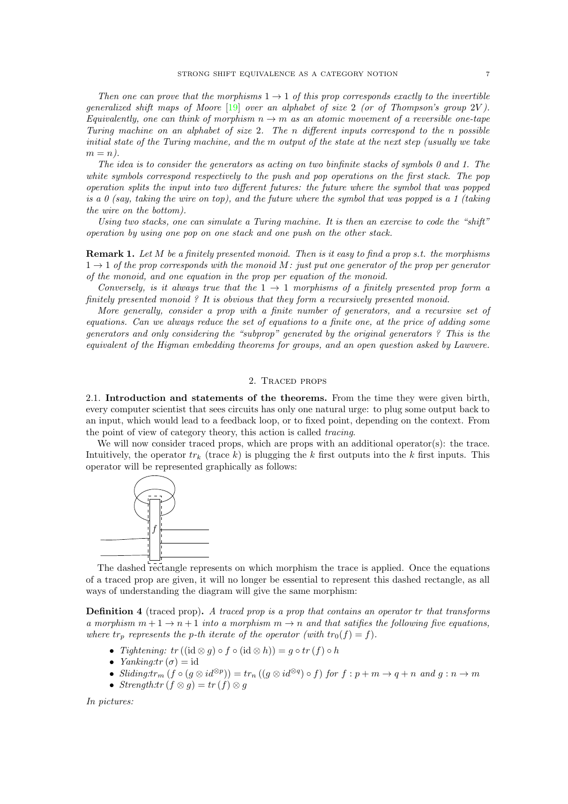Then one can prove that the morphisms  $1 \rightarrow 1$  of this prop corresponds exactly to the invertible generalized shift maps of Moore  $[19]$  over an alphabet of size 2 (or of Thompson's group 2V). Equivalently, one can think of morphism  $n \to m$  as an atomic movement of a reversible one-tape Turing machine on an alphabet of size 2. The n different inputs correspond to the n possible initial state of the Turing machine, and the m output of the state at the next step (usually we take  $m = n$ ).

The idea is to consider the generators as acting on two binfinite stacks of symbols 0 and 1. The white symbols correspond respectively to the push and pop operations on the first stack. The pop operation splits the input into two different futures: the future where the symbol that was popped is a 0 (say, taking the wire on top), and the future where the symbol that was popped is a 1 (taking the wire on the bottom).

Using two stacks, one can simulate a Turing machine. It is then an exercise to code the "shift" operation by using one pop on one stack and one push on the other stack.

**Remark 1.** Let  $M$  be a finitely presented monoid. Then is it easy to find a prop s.t. the morphisms  $1 \rightarrow 1$  of the prop corresponds with the monoid M: just put one generator of the prop per generator of the monoid, and one equation in the prop per equation of the monoid.

Conversely, is it always true that the  $1 \rightarrow 1$  morphisms of a finitely presented prop form a finitely presented monoid ? It is obvious that they form a recursively presented monoid.

More generally, consider a prop with a finite number of generators, and a recursive set of equations. Can we always reduce the set of equations to a finite one, at the price of adding some generators and only considering the "subprop" generated by the original generators ? This is the equivalent of the Higman embedding theorems for groups, and an open question asked by Lawvere.

## 2. Traced props

2.1. Introduction and statements of the theorems. From the time they were given birth, every computer scientist that sees circuits has only one natural urge: to plug some output back to an input, which would lead to a feedback loop, or to fixed point, depending on the context. From the point of view of category theory, this action is called tracing.

We will now consider traced props, which are props with an additional operator(s): the trace. Intuitively, the operator  $tr_k$  (trace k) is plugging the k first outputs into the k first inputs. This operator will be represented graphically as follows:



The dashed rectangle represents on which morphism the trace is applied. Once the equations of a traced prop are given, it will no longer be essential to represent this dashed rectangle, as all ways of understanding the diagram will give the same morphism:

Definition 4 (traced prop). A traced prop is a prop that contains an operator tr that transforms a morphism  $m + 1 \rightarrow n + 1$  into a morphism  $m \rightarrow n$  and that satifies the following five equations, where  $tr_p$  represents the p-th iterate of the operator (with  $tr_0(f) = f$ ).

- Tightening:  $tr((id \otimes g) \circ f \circ (id \otimes h)) = g \circ tr(f) \circ h$
- *Yanking:tr*  $(\sigma) = id$
- Sliding: $tr_m(f \circ (g \otimes id^{\otimes p})) = tr_n((g \otimes id^{\otimes q}) \circ f)$  for  $f : p + m \to q + n$  and  $g : n \to m$
- Strength: $tr(f \otimes g) = tr(f) \otimes g$

In pictures: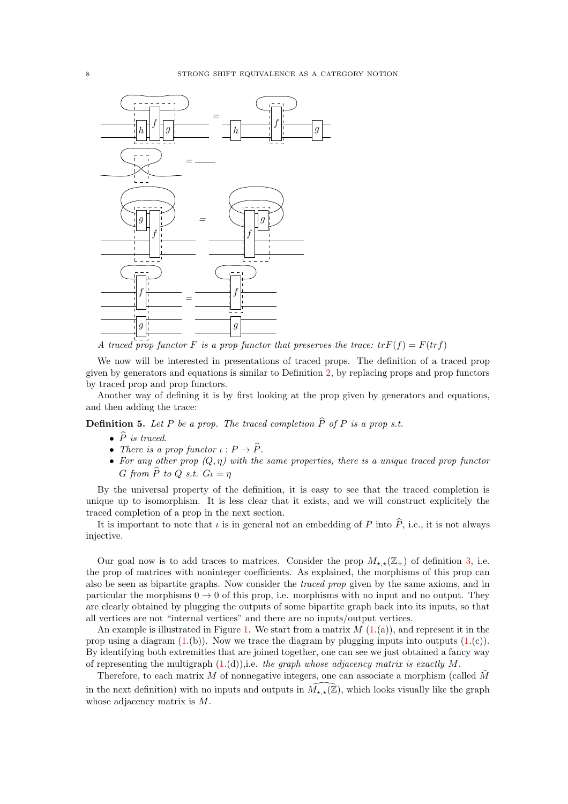

A traced prop functor F is a prop functor that preserves the trace:  $tr F(f) = F(tr f)$ 

We now will be interested in presentations of traced props. The definition of a traced prop given by generators and equations is similar to Definition 2, by replacing props and prop functors by traced prop and prop functors.

Another way of defining it is by first looking at the prop given by generators and equations, and then adding the trace:

**Definition 5.** Let P be a prop. The traced completion  $\widehat{P}$  of P is a prop s.t.

- $\bullet$   $\widehat{P}$  is traced.
- There is a prop functor  $\iota : P \to \widehat{P}$ .
- For any other prop  $(Q, \eta)$  with the same properties, there is a unique traced prop functor G from  $\widehat{P}$  to Q s.t.  $G_l = \eta$

By the universal property of the definition, it is easy to see that the traced completion is unique up to isomorphism. It is less clear that it exists, and we will construct explicitely the traced completion of a prop in the next section.

It is important to note that  $\iota$  is in general not an embedding of P into  $\widehat{P}$ , i.e., it is not always injective.

Our goal now is to add traces to matrices. Consider the prop  $M_{\star,\star}(\mathbb{Z}_+)$  of definition 3, i.e. the prop of matrices with noninteger coefficients. As explained, the morphisms of this prop can also be seen as bipartite graphs. Now consider the traced prop given by the same axioms, and in particular the morphisms  $0 \rightarrow 0$  of this prop, i.e. morphisms with no input and no output. They are clearly obtained by plugging the outputs of some bipartite graph back into its inputs, so that all vertices are not "internal vertices" and there are no inputs/output vertices.

An example is illustrated in Figure 1. We start from a matrix  $M(1(a))$ , and represent it in the prop using a diagram  $(1.(b))$ . Now we trace the diagram by plugging inputs into outputs  $(1.(c))$ . By identifying both extremities that are joined together, one can see we just obtained a fancy way of representing the multigraph  $(1.(d))$ , i.e. the graph whose adjacency matrix is exactly M.

Therefore, to each matrix M of nonnegative integers, one can associate a morphism (called  $\tilde{M}$ in the next definition) with no inputs and outputs in  $\tilde{M}_{\star,\star}(\mathbb{Z})$ , which looks visually like the graph whose adjacency matrix is M.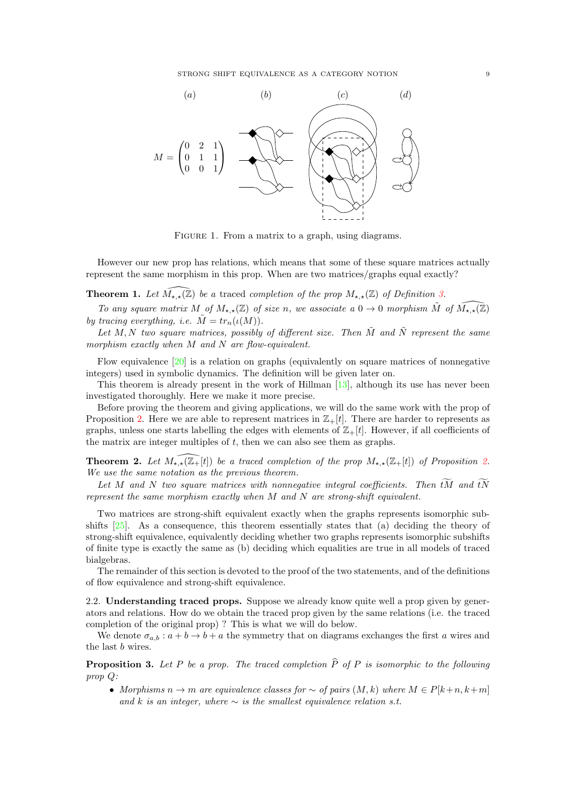STRONG SHIFT EQUIVALENCE AS A CATEGORY NOTION 9



FIGURE 1. From a matrix to a graph, using diagrams.

However our new prop has relations, which means that some of these square matrices actually represent the same morphism in this prop. When are two matrices/graphs equal exactly?

**Theorem 1.** Let  $\widehat{M_{\star,\star}(\mathbb{Z})}$  be a traced completion of the prop  $M_{\star,\star}(\mathbb{Z})$  of Definition 3.

To any square matrix M of  $M_{\star,\star}(\mathbb{Z})$  of size n, we associate a  $0 \to 0$  morphism  $\tilde{M}$  of  $\widehat{M_{\star,\star}(\mathbb{Z})}$ by tracing everything, i.e.  $\tilde{M} = tr_n(\iota(M)).$ 

Let M, N two square matrices, possibly of different size. Then  $\tilde{M}$  and  $\tilde{N}$  represent the same morphism exactly when M and N are flow-equivalent.

Flow equivalence  $[20]$  is a relation on graphs (equivalently on square matrices of nonnegative integers) used in symbolic dynamics. The definition will be given later on.

This theorem is already present in the work of Hillman [13], although its use has never been investigated thoroughly. Here we make it more precise.

Before proving the theorem and giving applications, we will do the same work with the prop of Proposition 2. Here we are able to represent matrices in  $\mathbb{Z}_+[t]$ . There are harder to represents as graphs, unless one starts labelling the edges with elements of  $\mathbb{Z}_+[t]$ . However, if all coefficients of the matrix are integer multiples of  $t$ , then we can also see them as graphs.

**Theorem 2.** Let  $M_{\star,\star}(\mathbb{Z}_+[t])$  be a traced completion of the prop  $M_{\star,\star}(\mathbb{Z}_+[t])$  of Proposition 2. We use the same notation as the previous theorem.

Let M and N two square matrices with nonnegative integral coefficients. Then  $\widetilde{tM}$  and  $\widetilde{tN}$ represent the same morphism exactly when M and N are strong-shift equivalent.

Two matrices are strong-shift equivalent exactly when the graphs represents isomorphic subshifts  $[25]$ . As a consequence, this theorem essentially states that (a) deciding the theory of strong-shift equivalence, equivalently deciding whether two graphs represents isomorphic subshifts of finite type is exactly the same as (b) deciding which equalities are true in all models of traced bialgebras.

The remainder of this section is devoted to the proof of the two statements, and of the definitions of flow equivalence and strong-shift equivalence.

2.2. Understanding traced props. Suppose we already know quite well a prop given by generators and relations. How do we obtain the traced prop given by the same relations (i.e. the traced completion of the original prop) ? This is what we will do below.

We denote  $\sigma_{a,b}$ :  $a+b\rightarrow b+a$  the symmetry that on diagrams exchanges the first a wires and the last b wires.

**Proposition 3.** Let P be a prop. The traced completion  $\hat{P}$  of P is isomorphic to the following prop Q:

• Morphisms  $n \to m$  are equivalence classes for  $\sim$  of pairs  $(M, k)$  where  $M \in P[k+n, k+m]$ and k is an integer, where  $\sim$  is the smallest equivalence relation s.t.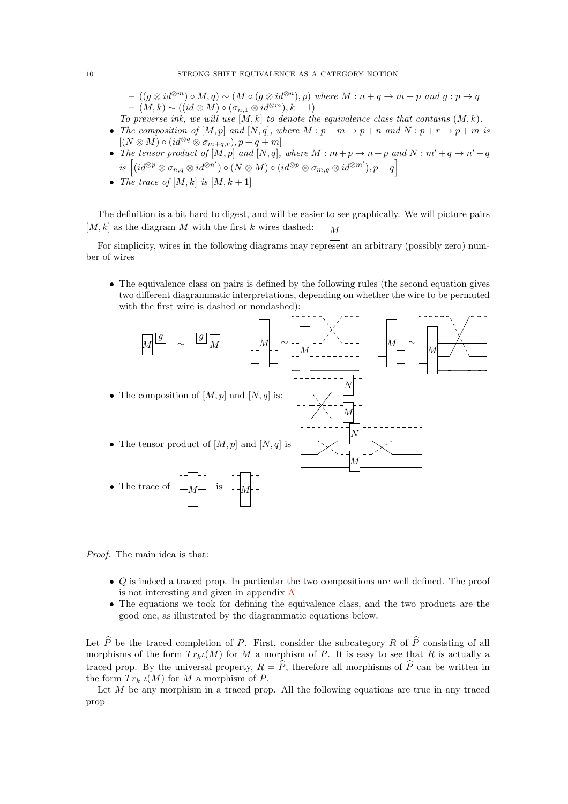$- ((g \otimes id^{\otimes m}) \circ M, q) \sim (M \circ (g \otimes id^{\otimes n}), p)$  where  $M : n + q \rightarrow m + p$  and  $g : p \rightarrow q$  $- (M, k) \sim ((id \otimes M) \circ (\sigma_{n,1} \otimes id^{\otimes m}), k + 1)$ 

To preverse ink, we will use  $[M, k]$  to denote the equivalence class that contains  $(M, k)$ .

- The composition of  $[M, p]$  and  $[N, q]$ , where  $M : p + m \rightarrow p + n$  and  $N : p + r \rightarrow p + m$  is  $[(N \otimes M) \circ (id^{\otimes q} \otimes \sigma_{m+q,r}), p+q+m]$
- The tensor product of  $[M, p]$  and  $[N, q]$ , where  $M : m + p \to n + p$  and  $N : m' + q \to n' + q$  $is \left[(id^{\otimes p} \otimes \sigma_{n,q} \otimes id^{\otimes n'}) \circ (N \otimes M) \circ (id^{\otimes p} \otimes \sigma_{m,q} \otimes id^{\otimes m'}) , p+q \right]$
- The trace of  $[M, k]$  is  $[M, k+1]$

The definition is a bit hard to digest, and will be easier to see graphically. We will picture pairs  $[M, k]$  as the diagram M with the first k wires dashed:

For simplicity, wires in the following diagrams may represent an arbitrary (possibly zero) number of wires

• The equivalence class on pairs is defined by the following rules (the second equation gives two different diagrammatic interpretations, depending on whether the wire to be permuted with the first wire is dashed or nondashed):



Proof. The main idea is that:

- Q is indeed a traced prop. In particular the two compositions are well defined. The proof is not interesting and given in appendix A
- The equations we took for defining the equivalence class, and the two products are the good one, as illustrated by the diagrammatic equations below.

Let  $\hat{P}$  be the traced completion of P. First, consider the subcategory R of  $\hat{P}$  consisting of all morphisms of the form  $Tr_k(u)$  for M a morphism of P. It is easy to see that R is actually a traced prop. By the universal property,  $R = \hat{P}$ , therefore all morphisms of  $\hat{P}$  can be written in the form  $Tr_k u(M)$  for M a morphism of P.

Let  $M$  be any morphism in a traced prop. All the following equations are true in any traced prop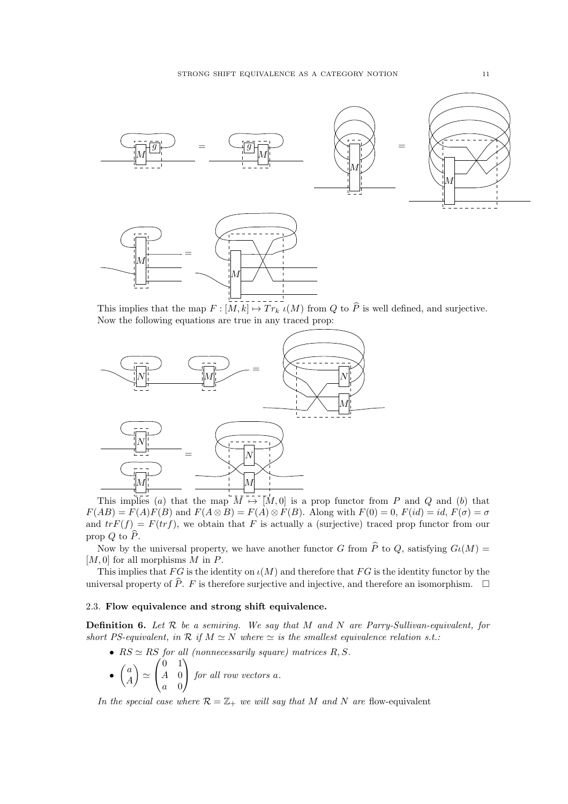

This implies that the map  $F : [M, k] \mapsto Tr_k \iota(M)$  from Q to  $\widehat{P}$  is well defined, and surjective. Now the following equations are true in any traced prop:



This implies (a) that the map  $M \mapsto M(0)$  is a prop functor from P and Q and (b) that  $F(AB) = F(A)F(B)$  and  $F(A \otimes B) = F(A) \otimes F(B)$ . Along with  $F(0) = 0$ ,  $F(id) = id$ ,  $F(\sigma) = \sigma$ and  $trF(f) = F(trf)$ , we obtain that F is actually a (surjective) traced prop functor from our prop  $Q$  to  $\widehat{P}$ .

Now by the universal property, we have another functor G from  $\hat{P}$  to Q, satisfying  $Gl(M)$  =  $[M, 0]$  for all morphisms M in P.

This implies that  $FG$  is the identity on  $\iota(M)$  and therefore that  $FG$  is the identity functor by the universal property of  $\widehat{P}$ . F is therefore surjective and injective, and therefore an isomorphism.  $\Box$ 

## 2.3. Flow equivalence and strong shift equivalence.

**Definition 6.** Let  $R$  be a semiring. We say that  $M$  and  $N$  are Parry-Sullivan-equivalent, for short PS-equivalent, in  $\mathcal R$  if  $M \simeq N$  where  $\simeq$  is the smallest equivalence relation s.t.:

- $RS \simeq RS$  for all (nonnecessarily square) matrices  $R, S$ . •  $\sqrt{a}$  $\overline{ }$ ≃  $\sqrt{ }$ 0 1  $A \quad 0$  $\setminus$  for all row vectors a.
	- A  $\mathbf{I}$ a 0

In the special case where  $\mathcal{R} = \mathbb{Z}_+$  we will say that M and N are flow-equivalent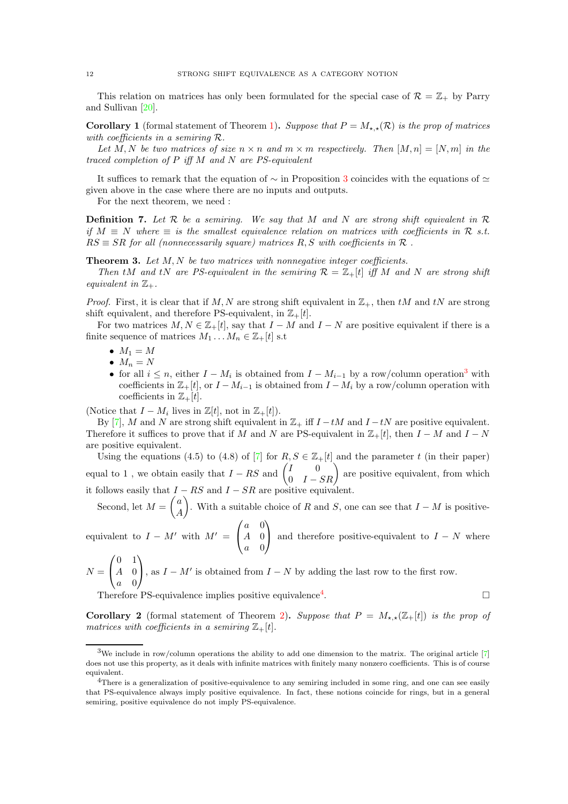This relation on matrices has only been formulated for the special case of  $\mathcal{R} = \mathbb{Z}_+$  by Parry and Sullivan [20].

**Corollary 1** (formal statement of Theorem 1). Suppose that  $P = M_{\star} \star (\mathcal{R})$  is the prop of matrices with coefficients in a semiring R.

Let M, N be two matrices of size  $n \times n$  and  $m \times m$  respectively. Then  $[M, n] = [N, m]$  in the traced completion of  $P$  iff  $M$  and  $N$  are  $PS$ -equivalent

It suffices to remark that the equation of  $\sim$  in Proposition 3 coincides with the equations of  $\simeq$ given above in the case where there are no inputs and outputs.

For the next theorem, we need :

**Definition 7.** Let  $\mathcal{R}$  be a semiring. We say that M and N are strong shift equivalent in  $\mathcal{R}$ if  $M \equiv N$  where  $\equiv$  is the smallest equivalence relation on matrices with coefficients in R s.t.  $RS \equiv SR$  for all (nonnecessarily square) matrices R, S with coefficients in R.

**Theorem 3.** Let  $M, N$  be two matrices with nonnegative integer coefficients.

Then tM and tN are PS-equivalent in the semiring  $\mathcal{R} = \mathbb{Z}_+ [t]$  iff M and N are strong shift equivalent in  $\mathbb{Z}_+$ .

*Proof.* First, it is clear that if M, N are strong shift equivalent in  $\mathbb{Z}_+$ , then tM and tN are strong shift equivalent, and therefore PS-equivalent, in  $\mathbb{Z}_{+}[t]$ .

For two matrices  $M, N \in \mathbb{Z}_+[t]$ , say that  $I - M$  and  $I - N$  are positive equivalent if there is a finite sequence of matrices  $M_1 \dots M_n \in \mathbb{Z}_+ [t]$  s.t

- $\bullet$   $M_1 = M$
- $\bullet$   $M_n = N$
- for all  $i \leq n$ , either  $I M_i$  is obtained from  $I M_{i-1}$  by a row/column operation<sup>3</sup> with coefficients in  $\mathbb{Z}_+[t]$ , or  $I-M_{i-1}$  is obtained from  $I-M_i$  by a row/column operation with coefficients in  $\mathbb{Z}_+[t]$ .

(Notice that  $I - M_i$  lives in  $\mathbb{Z}[t]$ , not in  $\mathbb{Z}_+[t]$ ).

By [7], M and N are strong shift equivalent in  $\mathbb{Z}_+$  iff  $I - tM$  and  $I - tN$  are positive equivalent. Therefore it suffices to prove that if M and N are PS-equivalent in  $\mathbb{Z}_+[t]$ , then  $I-M$  and  $I-N$ are positive equivalent.

Using the equations (4.5) to (4.8) of [7] for  $R, S \in \mathbb{Z}_+ [t]$  and the parameter t (in their paper) equal to 1, we obtain easily that  $I - RS$  and  $\begin{pmatrix} I & 0 \\ 0 & I - SR \end{pmatrix}$  are positive equivalent, from which it follows easily that  $I - RS$  and  $I - SR$  are positive equivalent.

Second, let  $M =$  $\sqrt{a}$ A  $\overline{ }$ . With a suitable choice of R and S, one can see that  $I - M$  is positive- $\sqrt{ }$ a 0  $\setminus$ 

equivalent to  $I - M'$  with  $M' =$  $\mathbf{I}$  $A \quad 0$ a 0 and therefore positive-equivalent to  $I - N$  where  $\begin{pmatrix} 0 & 1 \end{pmatrix}$ 

$$
N = \begin{pmatrix} 0 & 1 \\ A & 0 \\ a & 0 \end{pmatrix}
$$
, as  $I - M'$  is obtained from  $I - N$  by adding the last row to the first row.

Therefore PS-equivalence implies positive equivalence<sup>4</sup>.

**Corollary 2** (formal statement of Theorem 2). Suppose that  $P = M_{\star,\star}(\mathbb{Z}_+ [t])$  is the prop of matrices with coefficients in a semiring  $\mathbb{Z}_+[t]$ .

. В последните последните последните последните последните последните последните последните последните последн<br>В село в село в село в село в село в село в село в село в село в село в село в село в село в село в село в сел

 $3$ We include in row/column operations the ability to add one dimension to the matrix. The original article  $[7]$ does not use this property, as it deals with infinite matrices with finitely many nonzero coefficients. This is of course equivalent.

<sup>&</sup>lt;sup>4</sup>There is a generalization of positive-equivalence to any semiring included in some ring, and one can see easily that PS-equivalence always imply positive equivalence. In fact, these notions coincide for rings, but in a general semiring, positive equivalence do not imply PS-equivalence.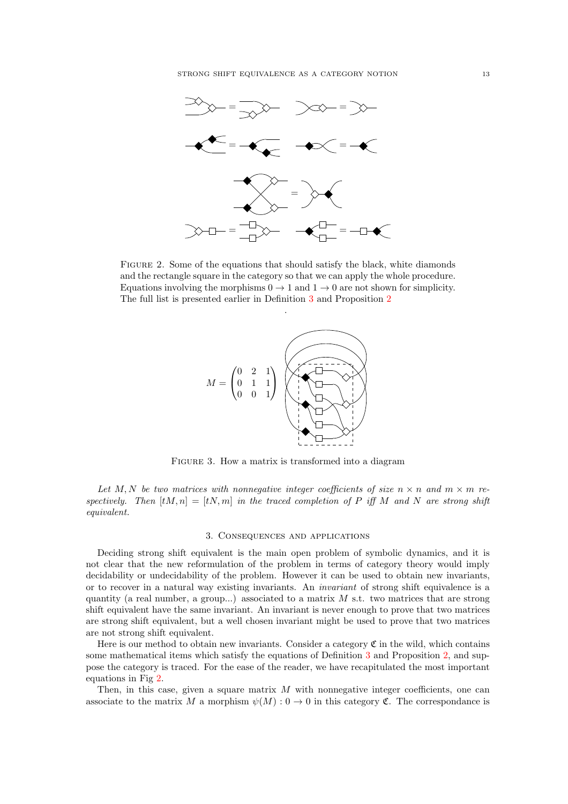

Figure 2. Some of the equations that should satisfy the black, white diamonds and the rectangle square in the category so that we can apply the whole procedure. Equations involving the morphisms  $0 \to 1$  and  $1 \to 0$  are not shown for simplicity. The full list is presented earlier in Definition 3 and Proposition 2

.



FIGURE 3. How a matrix is transformed into a diagram

Let M, N be two matrices with nonnegative integer coefficients of size  $n \times n$  and  $m \times m$  respectively. Then  $[tM, n] = [tN, m]$  in the traced completion of P iff M and N are strong shift equivalent.

### 3. Consequences and applications

Deciding strong shift equivalent is the main open problem of symbolic dynamics, and it is not clear that the new reformulation of the problem in terms of category theory would imply decidability or undecidability of the problem. However it can be used to obtain new invariants, or to recover in a natural way existing invariants. An invariant of strong shift equivalence is a quantity (a real number, a group...) associated to a matrix  $M$  s.t. two matrices that are strong shift equivalent have the same invariant. An invariant is never enough to prove that two matrices are strong shift equivalent, but a well chosen invariant might be used to prove that two matrices are not strong shift equivalent.

Here is our method to obtain new invariants. Consider a category  $\mathfrak C$  in the wild, which contains some mathematical items which satisfy the equations of Definition 3 and Proposition 2, and suppose the category is traced. For the ease of the reader, we have recapitulated the most important equations in Fig 2.

Then, in this case, given a square matrix  $M$  with nonnegative integer coefficients, one can associate to the matrix M a morphism  $\psi(M): 0 \to 0$  in this category C. The correspondance is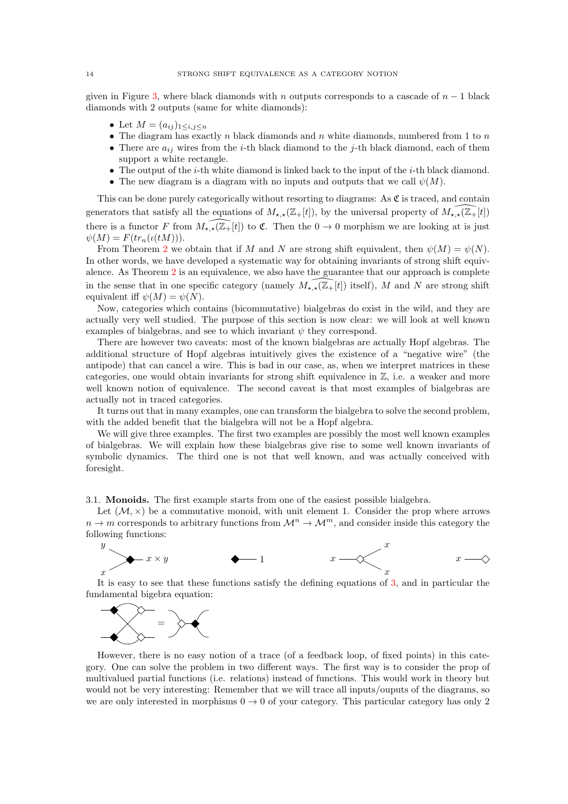given in Figure 3, where black diamonds with n outputs corresponds to a cascade of  $n - 1$  black diamonds with 2 outputs (same for white diamonds):

- Let  $M = (a_{ij})_{1 \le i,j \le n}$
- The diagram has exactly n black diamonds and n white diamonds, numbered from 1 to  $n$
- There are  $a_{ij}$  wires from the *i*-th black diamond to the *j*-th black diamond, each of them support a white rectangle.
- The output of the *i*-th white diamond is linked back to the input of the *i*-th black diamond.
- The new diagram is a diagram with no inputs and outputs that we call  $\psi(M)$ .

This can be done purely categorically without resorting to diagrams: As  $\mathfrak{C}$  is traced, and contain generators that satisfy all the equations of  $M_{\star,\star}(\mathbb{Z}_+[t])$ , by the universal property of  $M_{\star,\star}(\mathbb{Z}_+[t])$ there is a functor F from  $M_{\star,\star}(\overline{\mathbb{Z}_+}[t])$  to  $\mathfrak{C}$ . Then the  $0 \to 0$  morphism we are looking at is just  $\psi(M) = F(tr_n(\iota(tM))).$ 

From Theorem 2 we obtain that if M and N are strong shift equivalent, then  $\psi(M) = \psi(N)$ . In other words, we have developed a systematic way for obtaining invariants of strong shift equivalence. As Theorem 2 is an equivalence, we also have the guarantee that our approach is complete in the sense that in one specific category (namely  $\widehat{M_{\star,\star}(\mathbb{Z}_+[t])}$  itself), M and N are strong shift equivalent iff  $\psi(M) = \psi(N)$ .

Now, categories which contains (bicommutative) bialgebras do exist in the wild, and they are actually very well studied. The purpose of this section is now clear: we will look at well known examples of bialgebras, and see to which invariant  $\psi$  they correspond.

There are however two caveats: most of the known bialgebras are actually Hopf algebras. The additional structure of Hopf algebras intuitively gives the existence of a "negative wire" (the antipode) that can cancel a wire. This is bad in our case, as, when we interpret matrices in these categories, one would obtain invariants for strong shift equivalence in  $\mathbb{Z}$ , i.e. a weaker and more well known notion of equivalence. The second caveat is that most examples of bialgebras are actually not in traced categories.

It turns out that in many examples, one can transform the bialgebra to solve the second problem, with the added benefit that the bialgebra will not be a Hopf algebra.

We will give three examples. The first two examples are possibly the most well known examples of bialgebras. We will explain how these bialgebras give rise to some well known invariants of symbolic dynamics. The third one is not that well known, and was actually conceived with foresight.

3.1. Monoids. The first example starts from one of the easiest possible bialgebra.

Let  $(M, x)$  be a commutative monoid, with unit element 1. Consider the prop where arrows  $n \to m$  corresponds to arbitrary functions from  $\mathcal{M}^n \to \mathcal{M}^m$ , and consider inside this category the following functions:



It is easy to see that these functions satisfy the defining equations of 3, and in particular the fundamental bigebra equation:



However, there is no easy notion of a trace (of a feedback loop, of fixed points) in this category. One can solve the problem in two different ways. The first way is to consider the prop of multivalued partial functions (i.e. relations) instead of functions. This would work in theory but would not be very interesting: Remember that we will trace all inputs/ouputs of the diagrams, so we are only interested in morphisms  $0 \to 0$  of your category. This particular category has only 2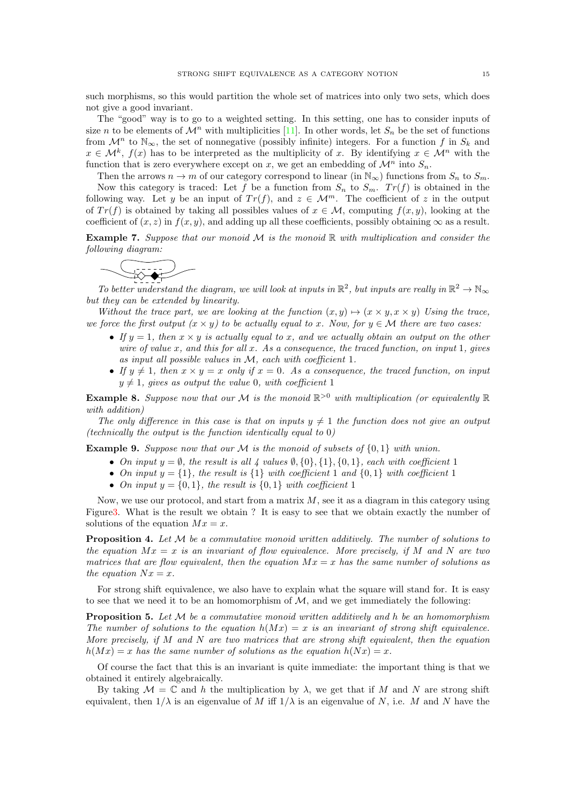such morphisms, so this would partition the whole set of matrices into only two sets, which does not give a good invariant.

The "good" way is to go to a weighted setting. In this setting, one has to consider inputs of size n to be elements of  $\mathcal{M}^n$  with multiplicities [11]. In other words, let  $S_n$  be the set of functions from  $\mathcal{M}^n$  to  $\mathbb{N}_{\infty}$ , the set of nonnegative (possibly infinite) integers. For a function f in  $S_k$  and  $x \in \mathcal{M}^k$ ,  $f(x)$  has to be interpreted as the multiplicity of x. By identifying  $x \in \mathcal{M}^n$  with the function that is zero everywhere except on x, we get an embedding of  $\mathcal{M}^n$  into  $S_n$ .

Then the arrows  $n \to m$  of our category correspond to linear (in  $\mathbb{N}_{\infty}$ ) functions from  $S_n$  to  $S_m$ . Now this category is traced: Let f be a function from  $S_n$  to  $S_m$ .  $Tr(f)$  is obtained in the following way. Let y be an input of  $Tr(f)$ , and  $z \in \mathcal{M}^m$ . The coefficient of z in the output of  $Tr(f)$  is obtained by taking all possibles values of  $x \in M$ , computing  $f(x, y)$ , looking at the coefficient of  $(x, z)$  in  $f(x, y)$ , and adding up all these coefficients, possibly obtaining  $\infty$  as a result.

**Example 7.** Suppose that our monoid  $M$  is the monoid  $\mathbb{R}$  with multiplication and consider the following diagram:



To better understand the diagram, we will look at inputs in  $\mathbb{R}^2$ , but inputs are really in  $\mathbb{R}^2 \to \mathbb{N}_{\infty}$ but they can be extended by linearity.

Without the trace part, we are looking at the function  $(x, y) \mapsto (x \times y, x \times y)$  Using the trace, we force the first output  $(x \times y)$  to be actually equal to x. Now, for  $y \in \mathcal{M}$  there are two cases:

- If  $y = 1$ , then  $x \times y$  is actually equal to x, and we actually obtain an output on the other wire of value  $x$ , and this for all  $x$ . As a consequence, the traced function, on input 1, gives as input all possible values in M, each with coefficient 1.
- If  $y \neq 1$ , then  $x \times y = x$  only if  $x = 0$ . As a consequence, the traced function, on input  $y \neq 1$ , gives as output the value 0, with coefficient 1

**Example 8.** Suppose now that our M is the monoid  $\mathbb{R}^{>0}$  with multiplication (or equivalently  $\mathbb{R}$ with addition)

The only difference in this case is that on inputs  $y \neq 1$  the function does not give an output (technically the output is the function identically equal to  $0$ )

**Example 9.** Suppose now that our M is the monoid of subsets of  $\{0,1\}$  with union.

- On input  $y = \emptyset$ , the result is all 4 values  $\emptyset$ ,  $\{0\}$ ,  $\{1\}$ ,  $\{0, 1\}$ , each with coefficient 1
- On input  $y = \{1\}$ , the result is  $\{1\}$  with coefficient 1 and  $\{0, 1\}$  with coefficient 1
- On input  $y = \{0, 1\}$ , the result is  $\{0, 1\}$  with coefficient 1

Now, we use our protocol, and start from a matrix  $M$ , see it as a diagram in this category using Figure3. What is the result we obtain ? It is easy to see that we obtain exactly the number of solutions of the equation  $Mx = x$ .

**Proposition 4.** Let  $M$  be a commutative monoid written additively. The number of solutions to the equation  $Mx = x$  is an invariant of flow equivalence. More precisely, if M and N are two matrices that are flow equivalent, then the equation  $Mx = x$  has the same number of solutions as the equation  $Nx = x$ .

For strong shift equivalence, we also have to explain what the square will stand for. It is easy to see that we need it to be an homomorphism of  $M$ , and we get immediately the following:

**Proposition 5.** Let  $M$  be a commutative monoid written additively and h be an homomorphism The number of solutions to the equation  $h(Mx) = x$  is an invariant of strong shift equivalence. More precisely, if M and N are two matrices that are strong shift equivalent, then the equation  $h(Mx) = x$  has the same number of solutions as the equation  $h(Nx) = x$ .

Of course the fact that this is an invariant is quite immediate: the important thing is that we obtained it entirely algebraically.

By taking  $\mathcal{M} = \mathbb{C}$  and h the multiplication by  $\lambda$ , we get that if M and N are strong shift equivalent, then  $1/\lambda$  is an eigenvalue of M iff  $1/\lambda$  is an eigenvalue of N, i.e. M and N have the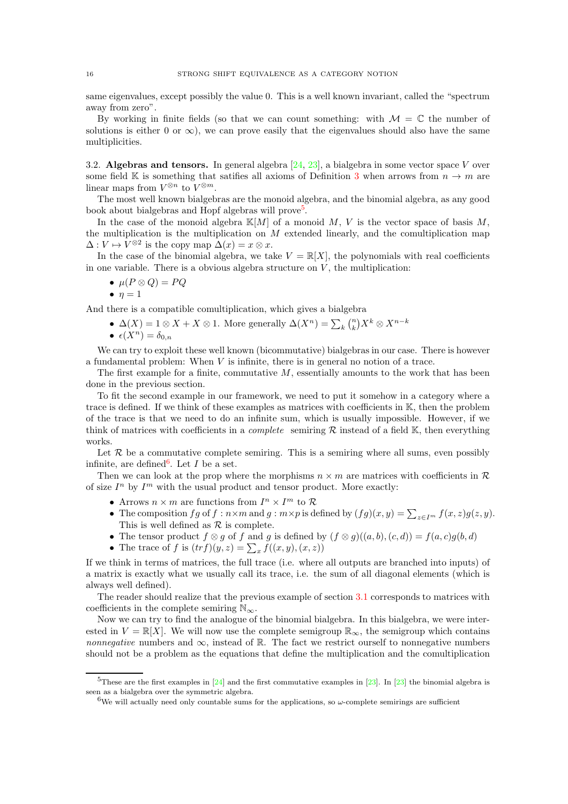same eigenvalues, except possibly the value 0. This is a well known invariant, called the "spectrum away from zero".

By working in finite fields (so that we can count something: with  $\mathcal{M} = \mathbb{C}$  the number of solutions is either 0 or  $\infty$ ), we can prove easily that the eigenvalues should also have the same multiplicities.

3.2. Algebras and tensors. In general algebra  $[24, 23]$ , a bialgebra in some vector space V over some field K is something that satifies all axioms of Definition 3 when arrows from  $n \to m$  are linear maps from  $V^{\otimes n}$  to  $V^{\otimes m}$ .

The most well known bialgebras are the monoid algebra, and the binomial algebra, as any good book about bialgebras and Hopf algebras will prove<sup>5</sup>.

In the case of the monoid algebra  $\mathbb{K}[M]$  of a monoid M, V is the vector space of basis M, the multiplication is the multiplication on  $M$  extended linearly, and the comultiplication map  $\Delta: V \mapsto V^{\otimes 2}$  is the copy map  $\Delta(x) = x \otimes x$ .

In the case of the binomial algebra, we take  $V = \mathbb{R}[X]$ , the polynomials with real coefficients in one variable. There is a obvious algebra structure on  $V$ , the multiplication:

$$
\bullet\ \mu(P\otimes Q)=PQ
$$

$$
\bullet\ \eta=1
$$

And there is a compatible comultiplication, which gives a bialgebra

- $\Delta(X) = 1 \otimes X + X \otimes 1$ . More generally  $\Delta(X^n) = \sum_k {n \choose k} X^k \otimes X^{n-k}$
- $\epsilon(X^n) = \delta_{0,n}$

We can try to exploit these well known (bicommutative) bialgebras in our case. There is however a fundamental problem: When  $V$  is infinite, there is in general no notion of a trace.

The first example for a finite, commutative  $M$ , essentially amounts to the work that has been done in the previous section.

To fit the second example in our framework, we need to put it somehow in a category where a trace is defined. If we think of these examples as matrices with coefficients in K, then the problem of the trace is that we need to do an infinite sum, which is usually impossible. However, if we think of matrices with coefficients in a *complete* semiring  $R$  instead of a field  $K$ , then everything works.

Let  $R$  be a commutative complete semiring. This is a semiring where all sums, even possibly infinite, are defined<sup>6</sup>. Let  $I$  be a set.

Then we can look at the prop where the morphisms  $n \times m$  are matrices with coefficients in R of size  $I<sup>n</sup>$  by  $I<sup>m</sup>$  with the usual product and tensor product. More exactly:

- Arrows  $n \times m$  are functions from  $I^n \times I^m$  to R
- The composition  $fg$  of  $f : n \times m$  and  $g : m \times p$  is defined by  $(fg)(x, y) = \sum_{z \in I^m} f(x, z)g(z, y)$ . This is well defined as  $\mathcal R$  is complete.
- The tensor product  $f \otimes g$  of f and g is defined by  $(f \otimes g)((a, b), (c, d)) = f(a, c)g(b, d)$
- The trace of f is  $(trf)(y, z) = \sum_x f((x, y), (x, z))$

If we think in terms of matrices, the full trace (i.e. where all outputs are branched into inputs) of a matrix is exactly what we usually call its trace, i.e. the sum of all diagonal elements (which is always well defined).

The reader should realize that the previous example of section 3.1 corresponds to matrices with coefficients in the complete semiring  $\mathbb{N}_{\infty}$ .

Now we can try to find the analogue of the binomial bialgebra. In this bialgebra, we were interested in  $V = \mathbb{R}[X]$ . We will now use the complete semigroup  $\mathbb{R}_{\infty}$ , the semigroup which contains *nonnegative* numbers and  $\infty$ , instead of R. The fact we restrict ourself to nonnegative numbers should not be a problem as the equations that define the multiplication and the comultiplication

<sup>&</sup>lt;sup>5</sup>These are the first examples in  $[24]$  and the first commutative examples in  $[23]$ . In  $[23]$  the binomial algebra is seen as a bialgebra over the symmetric algebra.

<sup>&</sup>lt;sup>6</sup>We will actually need only countable sums for the applications, so  $\omega$ -complete semirings are sufficient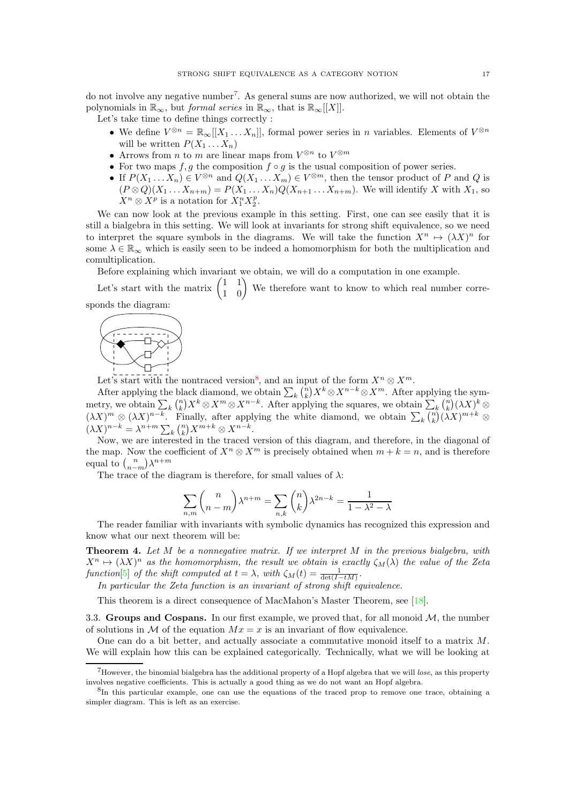do not involve any negative number<sup>7</sup>. As general sums are now authorized, we will not obtain the polynomials in  $\mathbb{R}_{\infty}$ , but *formal series* in  $\mathbb{R}_{\infty}$ , that is  $\mathbb{R}_{\infty}[[X]]$ .

Let's take time to define things correctly :

- We define  $V^{\otimes n} = \mathbb{R}_{\infty}[[X_1 \dots X_n]],$  formal power series in n variables. Elements of  $V^{\otimes n}$ will be written  $P(X_1 \ldots X_n)$
- Arrows from *n* to *m* are linear maps from  $V^{\otimes n}$  to  $V^{\otimes m}$
- For two maps  $f, g$  the composition  $f \circ g$  is the usual composition of power series.
- If  $P(X_1 ... X_n) \in V^{\otimes n}$  and  $Q(X_1 ... X_m) \in V^{\otimes m}$ , then the tensor product of P and Q is  $(P \otimes Q)(X_1 \ldots X_{n+m}) = P(X_1 \ldots X_n)Q(X_{n+1} \ldots X_{n+m})$ . We will identify X with  $X_1$ , so  $X^n \otimes X^p$  is a notation for  $X_1^n X_2^p$ .

We can now look at the previous example in this setting. First, one can see easily that it is still a bialgebra in this setting. We will look at invariants for strong shift equivalence, so we need to interpret the square symbols in the diagrams. We will take the function  $X^n \mapsto (\lambda X)^n$  for some  $\lambda \in \mathbb{R}_{\infty}$  which is easily seen to be indeed a homomorphism for both the multiplication and comultiplication.

Before explaining which invariant we obtain, we will do a computation in one example.

Let's start with the matrix  $\begin{pmatrix} 1 & 1 \\ 1 & 0 \end{pmatrix}$  We therefore want to know to which real number corresponds the diagram:



Let's start with the nontraced version<sup>8</sup>, and an input of the form  $X^n \otimes X^m$ .

After applying the black diamond, we obtain  $\sum_{k} {n \choose k} X^{k} \otimes X^{n-k} \otimes X^{m}$ . After applying the symmetry, we obtain  $\sum_{k} {n \choose k} X^{k} \otimes X^{m} \otimes X^{n-k}$ . After applying the squares, we obtain  $\sum_{k} {n \choose k} (\lambda X)^{k} \otimes$  $(\lambda X)^m \otimes (\lambda X)^{n-k}$ . Finally, after applying the white diamond, we obtain  $\sum_k {n \choose k} (\lambda X)^{m+k} \otimes$  $(\lambda X)^{n-k} = \lambda^{n+m} \sum_{k} {n \choose k} X^{m+k} \otimes X^{n-k}.$ 

Now, we are interested in the traced version of this diagram, and therefore, in the diagonal of the map. Now the coefficient of  $X^n \otimes X^m$  is precisely obtained when  $m + k = n$ , and is therefore equal to  $\binom{n}{n-m}\lambda^{n+m}$ 

The trace of the diagram is therefore, for small values of  $\lambda$ :

$$
\sum_{n,m}\binom{n}{n-m}\lambda^{n+m}=\sum_{n,k}\binom{n}{k}\lambda^{2n-k}=\frac{1}{1-\lambda^2-\lambda}
$$

The reader familiar with invariants with symbolic dynamics has recognized this expression and know what our next theorem will be:

**Theorem 4.** Let  $M$  be a nonnegative matrix. If we interpret  $M$  in the previous bialgebra, with  $X^n \mapsto (\lambda X)^n$  as the homomorphism, the result we obtain is exactly  $\zeta_M(\lambda)$  the value of the Zeta function[5] of the shift computed at  $t = \lambda$ , with  $\zeta_M(t) = \frac{1}{\det(I - tM)}$ .

In particular the Zeta function is an invariant of strong shift equivalence.

This theorem is a direct consequence of MacMahon's Master Theorem, see [18].

3.3. Groups and Cospans. In our first example, we proved that, for all monoid  $M$ , the number of solutions in M of the equation  $Mx = x$  is an invariant of flow equivalence.

One can do a bit better, and actually associate a commutative monoid itself to a matrix M. We will explain how this can be explained categorically. Technically, what we will be looking at

 $7$ However, the binomial bialgebra has the additional property of a Hopf algebra that we will lose, as this property involves negative coefficients. This is actually a good thing as we do not want an Hopf algebra.

<sup>8</sup> In this particular example, one can use the equations of the traced prop to remove one trace, obtaining a simpler diagram. This is left as an exercise.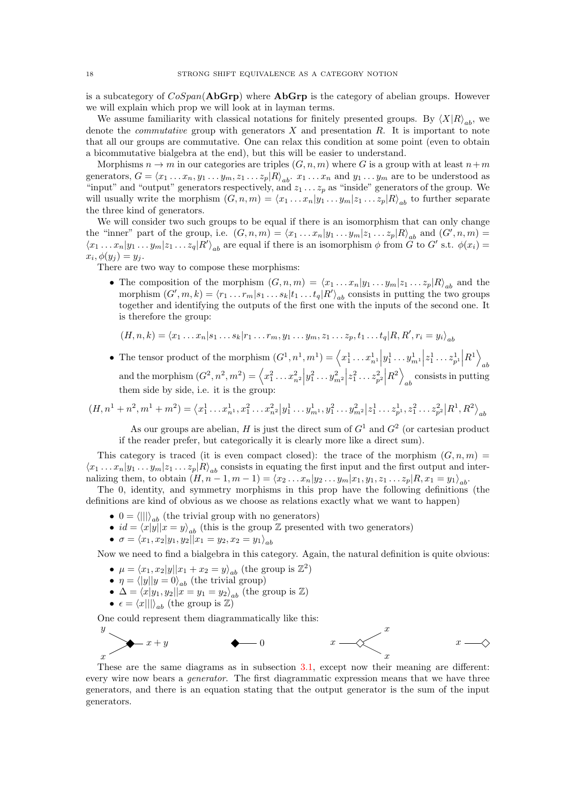is a subcategory of  $CoSpan(\bf{AbGrp})$  where  $\bf{AbGrp}$  is the category of abelian groups. However we will explain which prop we will look at in layman terms.

We assume familiarity with classical notations for finitely presented groups. By  $\langle X|R\rangle_{ab}$ , we denote the *commutative* group with generators  $X$  and presentation  $R$ . It is important to note that all our groups are commutative. One can relax this condition at some point (even to obtain a bicommutative bialgebra at the end), but this will be easier to understand.

Morphisms  $n \to m$  in our categories are triples  $(G, n, m)$  where G is a group with at least  $n+m$ generators,  $G = \langle x_1 \dots x_n, y_1 \dots y_m, z_1 \dots z_p | R \rangle_{ab}$ .  $x_1 \dots x_n$  and  $y_1 \dots y_m$  are to be understood as "input" and "output" generators respectively, and  $z_1 \ldots z_p$  as "inside" generators of the group. We will usually write the morphism  $(G, n, m) = \langle x_1 ... x_n | y_1 ... y_m | z_1 ... z_p | R \rangle_{ab}$  to further separate the three kind of generators.

We will consider two such groups to be equal if there is an isomorphism that can only change the "inner" part of the group, i.e.  $(G, n, m) = \langle x_1 ... x_n | y_1 ... y_m | z_1 ... z_p | R \rangle_{ab}$  and  $(G', n, m) =$  $\langle x_1 \dots x_n | y_1 \dots y_m | z_1 \dots z_q | R' \rangle_{ab}$  are equal if there is an isomorphism  $\phi$  from  $\tilde{G}$  to  $G'$  s.t.  $\phi(x_i) =$  $x_i, \phi(y_j) = y_j.$ 

There are two way to compose these morphisms:

• The composition of the morphism  $(G, n, m) = \langle x_1 ... x_n | y_1 ... y_m | z_1 ... z_p | R \rangle_{ab}$  and the morphism  $(G', m, k) = \langle r_1 ... r_m | s_1 ... s_k | t_1 ... t_q | R' \rangle_{ab}$  consists in putting the two groups together and identifying the outputs of the first one with the inputs of the second one. It is therefore the group:

$$
(H, n, k) = \langle x_1 \dots x_n | s_1 \dots s_k | r_1 \dots r_m, y_1 \dots y_m, z_1 \dots z_p, t_1 \dots t_q | R, R', r_i = y_i \rangle_{ab}
$$

• The tensor product of the morphism  $(G^1, n^1, m^1) = \langle x_1^1 \dots x_{n^1}^1$  $y_1^1 \dots y_{m^1}^1$  $|z_1^1 \dots z_{p^1}^1$  $\left|R^{1}\right\rangle$ ab and the morphism  $(G^2, n^2, m^2) = \left\langle x_1^2 \dots x_{n^2}^2 \right\rangle$  $y_1^2 \ldots y_{m^2}^2$  $|z_1^2 \dots z_{p^2}^2$  $\Big|R^2\Big>$ ab consists in putting them side by side, i.e. it is the group:

$$
(H, n1 + n2, m1 + m2) = \langle x11 \dots xn11, x12 \dots xn21 | y11 \dots ym11, y12 \dots ym21 | z11 \dots zp11, z12 \dots zp21 | R1, R2 \rangleab
$$

As our groups are abelian, H is just the direct sum of  $G<sup>1</sup>$  and  $G<sup>2</sup>$  (or cartesian product if the reader prefer, but categorically it is clearly more like a direct sum).

This category is traced (it is even compact closed): the trace of the morphism  $(G, n, m)$  $\langle x_1 \dots x_n | y_1 \dots y_m | z_1 \dots z_p | R \rangle_{ab}$  consists in equating the first input and the first output and internalizing them, to obtain  $(H, n - 1, m - 1) = \langle x_2 ... x_n | y_2 ... y_m | x_1, y_1, z_1 ... z_p | R, x_1 = y_1 \rangle_{ab}$ .

The 0, identity, and symmetry morphisms in this prop have the following definitions (the definitions are kind of obvious as we choose as relations exactly what we want to happen)

- $0 = \langle ||| \rangle_{ab}$  (the trivial group with no generators)
- $id = \langle x|y||x = y\rangle_{ab}$  (this is the group Z presented with two generators)
- $\sigma = \langle x_1, x_2|y_1, y_2| |x_1 = y_2, x_2 = y_1 \rangle_{ab}$

Now we need to find a bialgebra in this category. Again, the natural definition is quite obvious:

- $\mu = \langle x_1, x_2 | y | | x_1 + x_2 = y \rangle_{ab}$  (the group is  $\mathbb{Z}^2$ )
- $\eta = \langle |y||y=0\rangle_{ab}$  (the trivial group)
- $\Delta = \langle x|y_1, y_2||x = y_1 = y_2\rangle_{ab}$  (the group is Z)
- $\epsilon = \langle x||\rangle_{ab}$  (the group is  $\mathbb{Z}$ )

One could represent them diagrammatically like this:



These are the same diagrams as in subsection 3.1, except now their meaning are different: every wire now bears a generator. The first diagrammatic expression means that we have three generators, and there is an equation stating that the output generator is the sum of the input generators.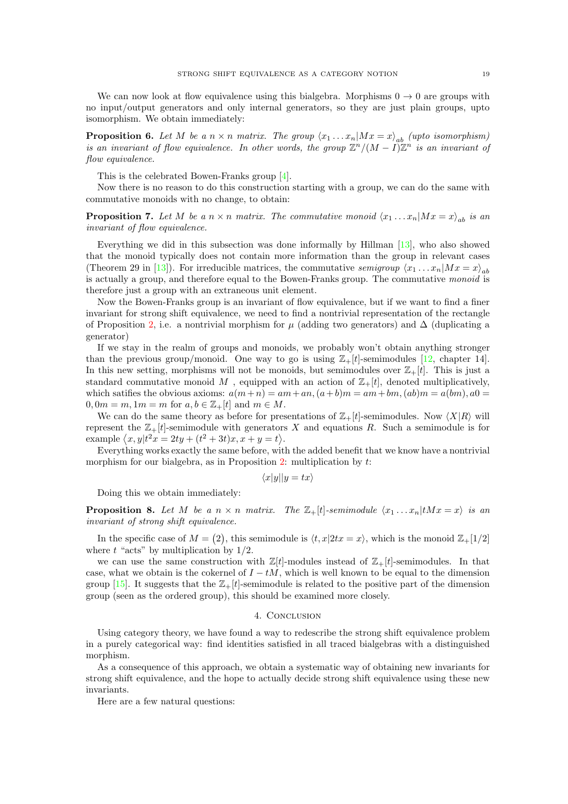We can now look at flow equivalence using this bialgebra. Morphisms  $0 \rightarrow 0$  are groups with no input/output generators and only internal generators, so they are just plain groups, upto isomorphism. We obtain immediately:

**Proposition 6.** Let M be a  $n \times n$  matrix. The group  $\langle x_1 \dots x_n | Mx = x \rangle_{ab}$  (upto isomorphism) is an invariant of flow equivalence. In other words, the group  $\mathbb{Z}^n/(M-I)\mathbb{Z}^n$  is an invariant of flow equivalence.

This is the celebrated Bowen-Franks group [4].

Now there is no reason to do this construction starting with a group, we can do the same with commutative monoids with no change, to obtain:

**Proposition 7.** Let M be a  $n \times n$  matrix. The commutative monoid  $\langle x_1 \dots x_n | Mx = x \rangle_{ab}$  is an invariant of flow equivalence.

Everything we did in this subsection was done informally by Hillman [13], who also showed that the monoid typically does not contain more information than the group in relevant cases (Theorem 29 in [13]). For irreducible matrices, the commutative *semigroup*  $\langle x_1 ... x_n | Mx = x \rangle_{ab}$ is actually a group, and therefore equal to the Bowen-Franks group. The commutative monoid is therefore just a group with an extraneous unit element.

Now the Bowen-Franks group is an invariant of flow equivalence, but if we want to find a finer invariant for strong shift equivalence, we need to find a nontrivial representation of the rectangle of Proposition 2, i.e. a nontrivial morphism for  $\mu$  (adding two generators) and  $\Delta$  (duplicating a generator)

If we stay in the realm of groups and monoids, we probably won't obtain anything stronger than the previous group/monoid. One way to go is using  $\mathbb{Z}_+ [t]$ -semimodules [12, chapter 14]. In this new setting, morphisms will not be monoids, but semimodules over  $\mathbb{Z}_+[t]$ . This is just a standard commutative monoid M, equipped with an action of  $\mathbb{Z}_+ [t]$ , denoted multiplicatively, which satifies the obvious axioms:  $a(m+n) = am + an$ ,  $(a+b)m = am + bm$ ,  $(ab)m = a(bm)$ ,  $a0 =$  $0, 0m = m, 1m = m$  for  $a, b \in \mathbb{Z}_+ [t]$  and  $m \in M$ .

We can do the same theory as before for presentations of  $\mathbb{Z}_+[t]$ -semimodules. Now  $\langle X|R \rangle$  will represent the  $\mathbb{Z}_+[t]$ -semimodule with generators X and equations R. Such a semimodule is for example  $\langle x, y | t^2 x = 2ty + (t^2 + 3t)x, x + y = t \rangle$ .

Everything works exactly the same before, with the added benefit that we know have a nontrivial morphism for our bialgebra, as in Proposition  $2$ : multiplication by  $t$ :

$$
\langle x|y||y=tx\rangle
$$

Doing this we obtain immediately:

**Proposition 8.** Let M be a  $n \times n$  matrix. The  $\mathbb{Z}_{+}[t]$ -semimodule  $\langle x_1 ... x_n | tMx = x \rangle$  is an invariant of strong shift equivalence.

In the specific case of  $M = (2)$ , this semimodule is  $\langle t, x | 2tx = x \rangle$ , which is the monoid  $\mathbb{Z}_+ [1/2]$ where  $t$  "acts" by multiplication by  $1/2$ .

we can use the same construction with  $\mathbb{Z}[t]$ -modules instead of  $\mathbb{Z}_+[t]$ -semimodules. In that case, what we obtain is the cokernel of  $I - tM$ , which is well known to be equal to the dimension group [15]. It suggests that the  $\mathbb{Z}_+ [t]$ -semimodule is related to the positive part of the dimension group (seen as the ordered group), this should be examined more closely.

#### 4. Conclusion

Using category theory, we have found a way to redescribe the strong shift equivalence problem in a purely categorical way: find identities satisfied in all traced bialgebras with a distinguished morphism.

As a consequence of this approach, we obtain a systematic way of obtaining new invariants for strong shift equivalence, and the hope to actually decide strong shift equivalence using these new invariants.

Here are a few natural questions: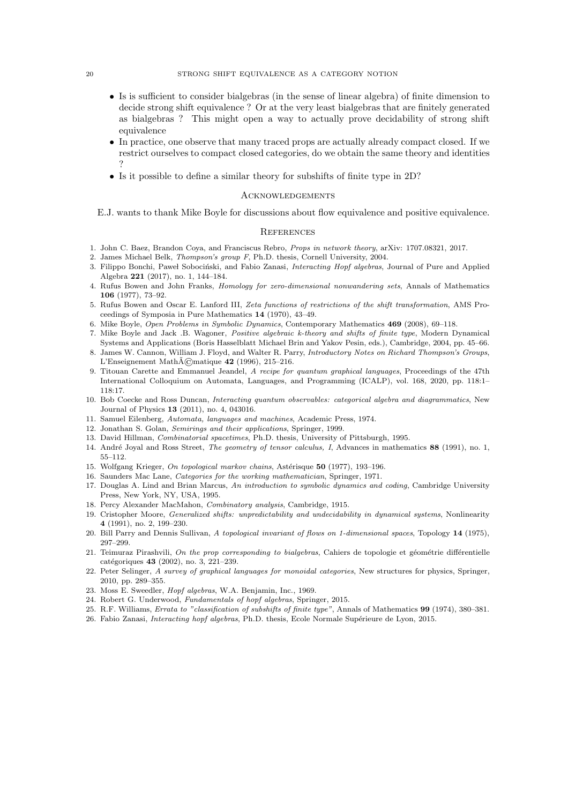- Is is sufficient to consider bialgebras (in the sense of linear algebra) of finite dimension to decide strong shift equivalence ? Or at the very least bialgebras that are finitely generated as bialgebras ? This might open a way to actually prove decidability of strong shift equivalence
- In practice, one observe that many traced props are actually already compact closed. If we restrict ourselves to compact closed categories, do we obtain the same theory and identities ?
- Is it possible to define a similar theory for subshifts of finite type in 2D?

#### Acknowledgements

E.J. wants to thank Mike Boyle for discussions about flow equivalence and positive equivalence.

#### **REFERENCES**

- 1. John C. Baez, Brandon Coya, and Franciscus Rebro, Props in network theory, arXiv: 1707.08321, 2017.
- 2. James Michael Belk, Thompson's group F, Ph.D. thesis, Cornell University, 2004.
- 3. Filippo Bonchi, Paweł Sobociński, and Fabio Zanasi, Interacting Hopf algebras, Journal of Pure and Applied Algebra 221 (2017), no. 1, 144–184.
- 4. Rufus Bowen and John Franks, Homology for zero-dimensional nonwandering sets, Annals of Mathematics 106 (1977), 73–92.
- 5. Rufus Bowen and Oscar E. Lanford III, Zeta functions of restrictions of the shift transformation, AMS Proceedings of Symposia in Pure Mathematics 14 (1970), 43–49.
- 6. Mike Boyle, Open Problems in Symbolic Dynamics, Contemporary Mathematics 469 (2008), 69–118.
- 7. Mike Boyle and Jack .B. Wagoner, Positive algebraic k-theory and shifts of finite type, Modern Dynamical Systems and Applications (Boris Hasselblatt Michael Brin and Yakov Pesin, eds.), Cambridge, 2004, pp. 45–66.
- 8. James W. Cannon, William J. Floyd, and Walter R. Parry, Introductory Notes on Richard Thompson's Groups, L'Enseignement Math $\tilde{A}$ ©matique 42 (1996), 215–216.
- 9. Titouan Carette and Emmanuel Jeandel, A recipe for quantum graphical languages, Proceedings of the 47th International Colloquium on Automata, Languages, and Programming (ICALP), vol. 168, 2020, pp. 118:1– 118:17.
- 10. Bob Coecke and Ross Duncan, Interacting quantum observables: categorical algebra and diagrammatics, New Journal of Physics 13 (2011), no. 4, 043016.
- 11. Samuel Eilenberg, Automata, languages and machines, Academic Press, 1974.
- 12. Jonathan S. Golan, Semirings and their applications, Springer, 1999.
- 13. David Hillman, Combinatorial spacetimes, Ph.D. thesis, University of Pittsburgh, 1995.
- 14. André Joyal and Ross Street, *The geometry of tensor calculus, I*, Advances in mathematics 88 (1991), no. 1, 55–112.
- 15. Wolfgang Krieger, On topological markov chains, Astérisque 50 (1977), 193–196.
- 16. Saunders Mac Lane, Categories for the working mathematician, Springer, 1971.
- 17. Douglas A. Lind and Brian Marcus, An introduction to symbolic dynamics and coding, Cambridge University Press, New York, NY, USA, 1995.
- 18. Percy Alexander MacMahon, Combinatory analysis, Cambridge, 1915.
- 19. Cristopher Moore, Generalized shifts: unpredictability and undecidability in dynamical systems, Nonlinearity 4 (1991), no. 2, 199–230.
- 20. Bill Parry and Dennis Sullivan, A topological invariant of flows on 1-dimensional spaces, Topology 14 (1975), 297–299.
- 21. Teimuraz Pirashvili, On the prop corresponding to bialgebras, Cahiers de topologie et géométrie différentielle catégoriques 43 (2002), no. 3, 221-239.
- 22. Peter Selinger, A survey of graphical languages for monoidal categories, New structures for physics, Springer, 2010, pp. 289–355.
- 23. Moss E. Sweedler, Hopf algebras, W.A. Benjamin, Inc., 1969.
- 24. Robert G. Underwood, Fundamentals of hopf algebras, Springer, 2015.
- 25. R.F. Williams, Errata to "classification of subshifts of finite type", Annals of Mathematics 99 (1974), 380–381.
- 26. Fabio Zanasi, *Interacting hopf algebras*, Ph.D. thesis, Ecole Normale Supérieure de Lyon, 2015.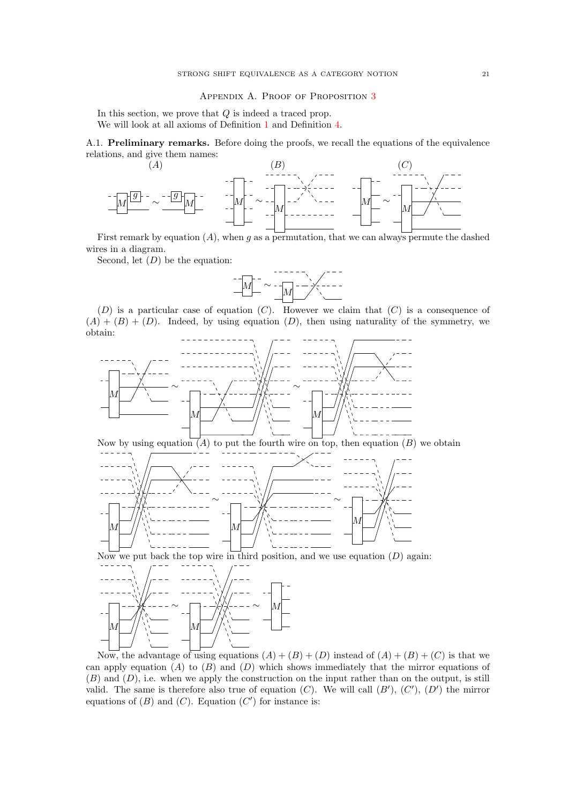#### APPENDIX A. PROOF OF PROPOSITION 3

In this section, we prove that  $Q$  is indeed a traced prop. We will look at all axioms of Definition 1 and Definition 4.

A.1. Preliminary remarks. Before doing the proofs, we recall the equations of the equivalence relations, and give them names:



First remark by equation  $(A)$ , when g as a permutation, that we can always permute the dashed wires in a diagram.

Second, let  $(D)$  be the equation:



 $(D)$  is a particular case of equation  $(C)$ . However we claim that  $(C)$  is a consequence of  $(A) + (B) + (D)$ . Indeed, by using equation  $(D)$ , then using naturality of the symmetry, we obtain:



Now by using equation  $(A)$  to put the fourth wire on top, then equation  $(B)$  we obtain



Now we put back the top wire in third position, and we use equation  $(D)$  again:



Now, the advantage of using equations  $(A) + (B) + (D)$  instead of  $(A) + (B) + (C)$  is that we can apply equation  $(A)$  to  $(B)$  and  $(D)$  which shows immediately that the mirror equations of  $(B)$  and  $(D)$ , i.e. when we apply the construction on the input rather than on the output, is still valid. The same is therefore also true of equation  $(C)$ . We will call  $(B')$ ,  $(C')$ ,  $(D')$  the mirror equations of  $(B)$  and  $(C)$ . Equation  $(C')$  for instance is: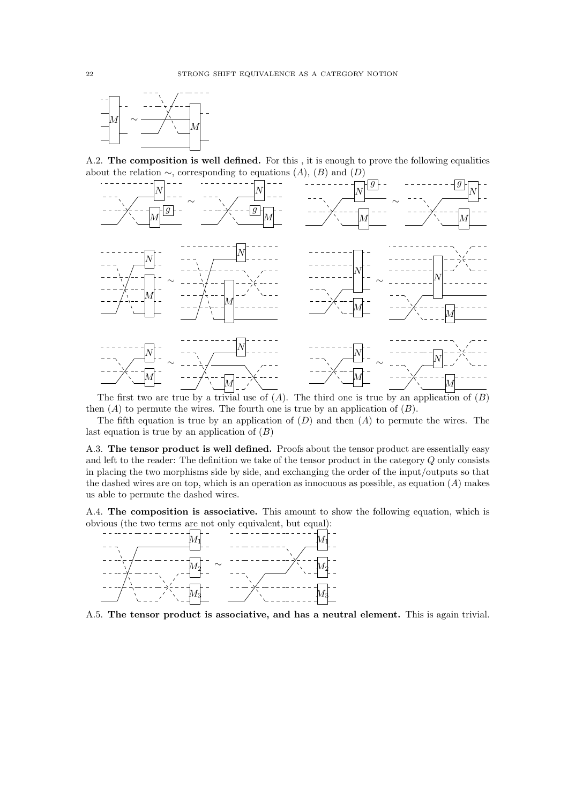

A.2. The composition is well defined. For this , it is enough to prove the following equalities about the relation  $\sim$ , corresponding to equations  $(A)$ ,  $(B)$  and  $(D)$ 



The first two are true by a trivial use of  $(A)$ . The third one is true by an application of  $(B)$ then  $(A)$  to permute the wires. The fourth one is true by an application of  $(B)$ .

The fifth equation is true by an application of  $(D)$  and then  $(A)$  to permute the wires. The last equation is true by an application of  $(B)$ 

A.3. The tensor product is well defined. Proofs about the tensor product are essentially easy and left to the reader: The definition we take of the tensor product in the category Q only consists in placing the two morphisms side by side, and exchanging the order of the input/outputs so that the dashed wires are on top, which is an operation as innocuous as possible, as equation  $(A)$  makes us able to permute the dashed wires.

A.4. The composition is associative. This amount to show the following equation, which is obvious (the two terms are not only equivalent, but equal):



A.5. The tensor product is associative, and has a neutral element. This is again trivial.